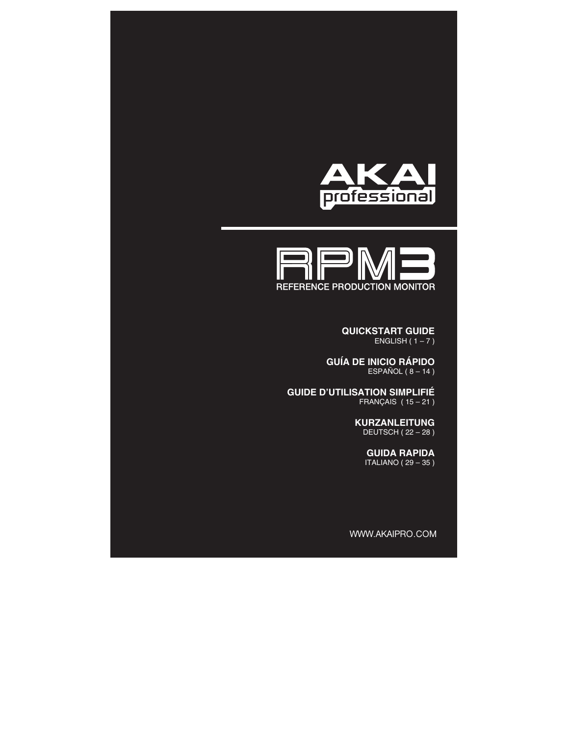



**QUICKSTART GUIDE**  ENGLISH  $(1 - 7)$ 

**GUÍA DE INICIO RÁPIDO**  ESPAÑOL ( $8 - 14$ )

**GUIDE D'UTILISATION SIMPLIFIÉ**  FRANÇAIS ( 15 – 21 )

> **KURZANLEITUNG**  DEUTSCH ( 22 – 28 )

> > **GUIDA RAPIDA**  ITALIANO ( 29 – 35 )

WWW.AKAIPRO.COM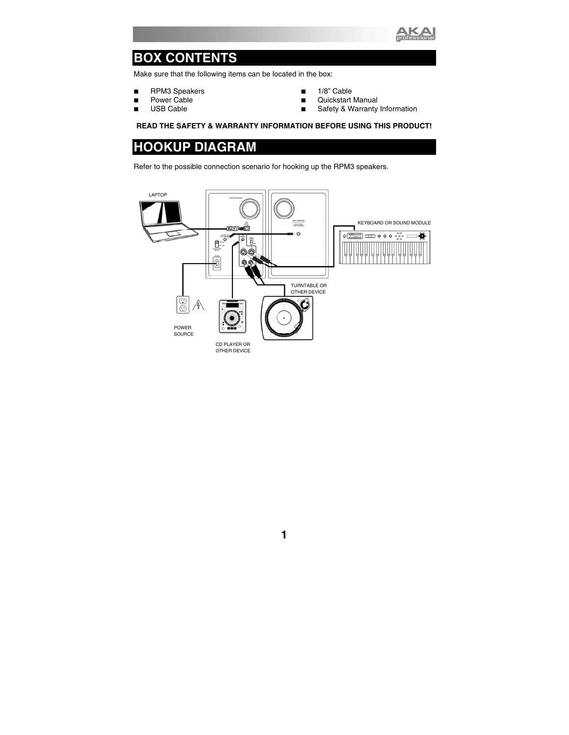

## **BOX CONTENTS**

Make sure that the following items can be located in the box:

- **RPM3** Speakers
- **Power Cable**
- USB Cable
- $1/8$ " Cable
- **Quickstart Manual**
- Safety & Warranty Information

#### **READ THE SAFETY & WARRANTY INFORMATION BEFORE USING THIS PRODUCT!**

### **HOOKUP DIAGRAM**

Refer to the possible connection scenario for hooking up the RPM3 speakers.

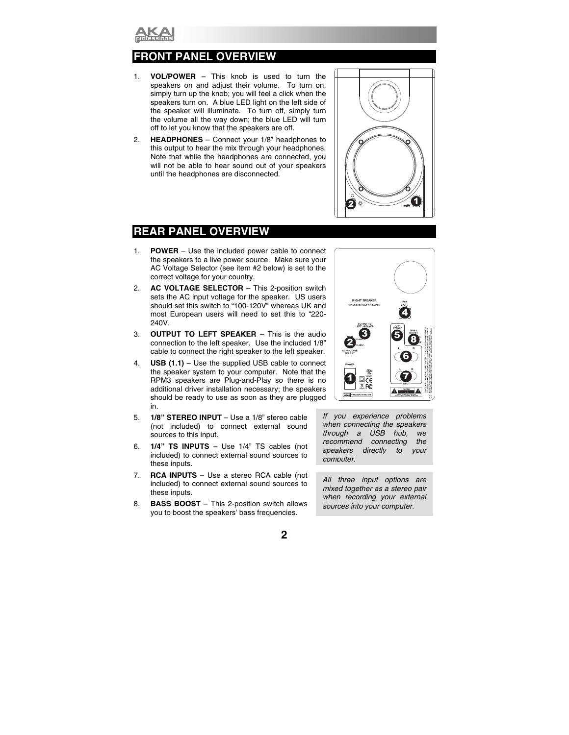

### **FANEL OVERVIEW**

- 1. **VOL/POWER** This knob is used to turn the speakers on and adjust their volume. To turn on, simply turn up the knob; you will feel a click when the speakers turn on. A blue LED light on the left side of the speaker will illuminate. To turn off, simply turn the volume all the way down; the blue LED will turn off to let you know that the speakers are off.
- 2. **HEADPHONES** Connect your 1/8" headphones to this output to hear the mix through your headphones. Note that while the headphones are connected, you will not be able to hear sound out of your speakers until the headphones are disconnected.



### **REAR PANEL OVERVIEW**

- 1. **POWER** Use the included power cable to connect the speakers to a live power source. Make sure your AC Voltage Selector (see item #2 below) is set to the correct voltage for your country.
- 2. **AC VOLTAGE SELECTOR** This 2-position switch sets the AC input voltage for the speaker. US users should set this switch to "100-120V" whereas UK and most European users will need to set this to "220- 240V.
- 3. **OUTPUT TO LEFT SPEAKER**  This is the audio connection to the left speaker. Use the included 1/8" cable to connect the right speaker to the left speaker.
- 4. **USB (1.1)**  Use the supplied USB cable to connect the speaker system to your computer. Note that the RPM3 speakers are Plug-and-Play so there is no additional driver installation necessary; the speakers should be ready to use as soon as they are plugged in.
- 5. **1/8" STEREO INPUT**  Use a 1/8" stereo cable (not included) to connect external sound sources to this input.
- 6. **1/4" TS INPUTS**  Use 1/4" TS cables (not included) to connect external sound sources to these inputs.
- 7. **RCA INPUTS** Use a stereo RCA cable (not included) to connect external sound sources to these inputs.
- 8. **BASS BOOST**  This 2-position switch allows you to boost the speakers' bass frequencies.



*If you experience problems when connecting the speakers through a USB hub, we recommend connecting the speakers directly to your computer.*

*All three input options are mixed together as a stereo pair when recording your external sources into your computer.*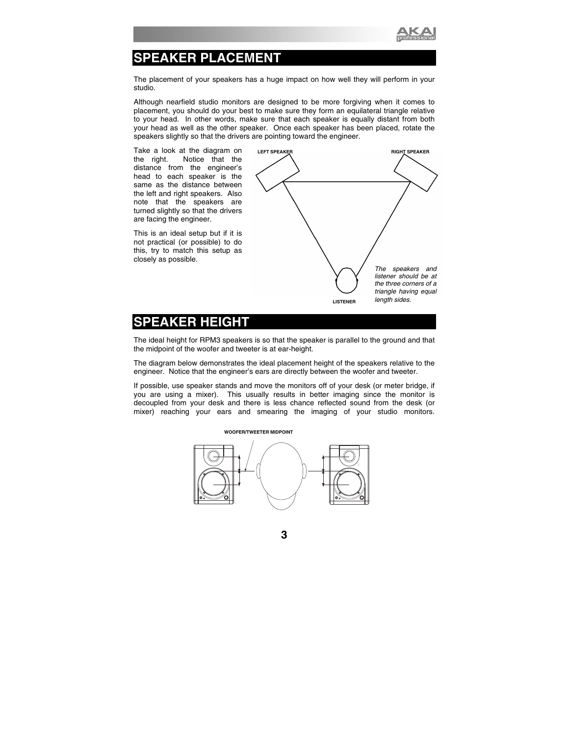

## **SPEAKER PLACEMENT**

The placement of your speakers has a huge impact on how well they will perform in your studio.

Although nearfield studio monitors are designed to be more forgiving when it comes to placement, you should do your best to make sure they form an equilateral triangle relative to your head. In other words, make sure that each speaker is equally distant from both your head as well as the other speaker. Once each speaker has been placed, rotate the speakers slightly so that the drivers are pointing toward the engineer.

Take a look at the diagram on the right. Notice that the distance from the engineer's head to each speaker is the same as the distance between the left and right speakers. Also note that the speakers are turned slightly so that the drivers are facing the engineer.

This is an ideal setup but if it is not practical (or possible) to do this, try to match this setup as closely as possible.



### **SPEAKER HEIGHT**

The ideal height for RPM3 speakers is so that the speaker is parallel to the ground and that the midpoint of the woofer and tweeter is at ear-height.

The diagram below demonstrates the ideal placement height of the speakers relative to the engineer. Notice that the engineer's ears are directly between the woofer and tweeter.

If possible, use speaker stands and move the monitors off of your desk (or meter bridge, if you are using a mixer). This usually results in better imaging since the monitor is decoupled from your desk and there is less chance reflected sound from the desk (or mixer) reaching your ears and smearing the imaging of your studio monitors.



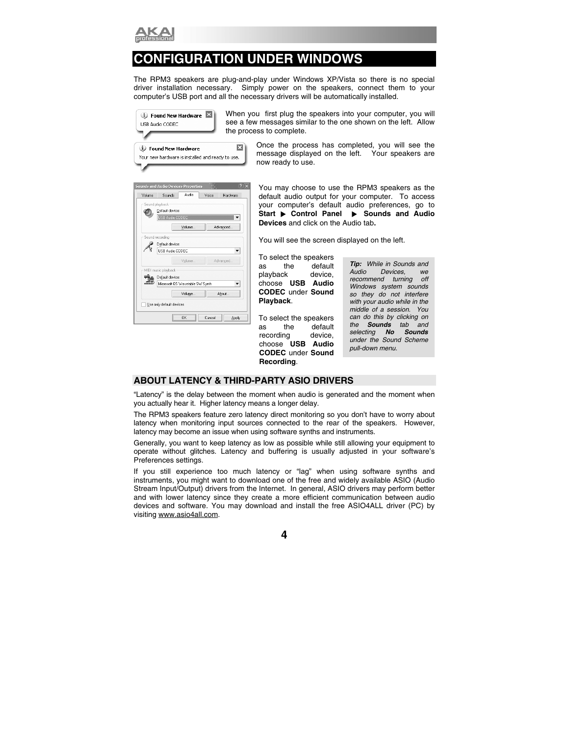

## **CONFIGURATION UNDER WINDOWS**

The RPM3 speakers are plug-and-play under Windows XP/Vista so there is no special driver installation necessary. Simply power on the speakers, connect them to your Simply power on the speakers, connect them to your computer's USB port and all the necessary drivers will be automatically installed.



When you first plug the speakers into your computer, you will see a few messages similar to the one shown on the left. Allow the process to complete.

> Once the process has completed, you will see the message displayed on the left. Your speakers are message displayed on the left. now ready to use.

|        | 2)<br><b>Sounds and Audio Devices Properties</b> |
|--------|--------------------------------------------------|
| Volume | Audio<br>Sounds<br>Vnice<br>Hardware             |
|        | Sound playback                                   |
|        | Default device:                                  |
|        | USB Audio CODEC                                  |
|        | Advanced<br>Volume                               |
|        | Sound recording                                  |
|        | Default device:                                  |
|        | <b>LISB Audio CODEC</b>                          |
|        | Advanced<br>Volume                               |
|        | MIDI music playback                              |
|        | Default device:                                  |
|        | Microsoft GS Wavetable SW Synth                  |
|        | About<br>Volume                                  |
|        | Use only default devices                         |
|        | OK<br>Cancel<br>Apply                            |

You may choose to use the RPM3 speakers as the default audio output for your computer. To access your computer's default audio preferences, go to **Start ▶ Control Panel ▶ Sounds and Audio Devices** and click on the Audio tab**.** 

You will see the screen displayed on the left.

To select the speakers as the default playback device, choose **USB Audio CODEC** under **Sound Playback**.

To select the speakers as the default recording device, choose **USB Audio CODEC** under **Sound Recording**.

*Tip: While in Sounds and Audio Devices, we recommend turning off Windows system sounds so they do not interfere with your audio while in the middle of a session. You can do this by clicking on the Sounds tab and selecting No Sounds under the Sound Scheme pull-down menu.* 

#### **ABOUT LATENCY & THIRD-PARTY ASIO DRIVERS**

"Latency" is the delay between the moment when audio is generated and the moment when you actually hear it. Higher latency means a longer delay.

The RPM3 speakers feature zero latency direct monitoring so you don't have to worry about latency when monitoring input sources connected to the rear of the speakers. However, latency may become an issue when using software synths and instruments.

Generally, you want to keep latency as low as possible while still allowing your equipment to operate without glitches. Latency and buffering is usually adjusted in your software's Preferences settings.

If you still experience too much latency or "lag" when using software synths and instruments, you might want to download one of the free and widely available ASIO (Audio Stream Input/Output) drivers from the Internet. In general, ASIO drivers may perform better and with lower latency since they create a more efficient communication between audio devices and software. You may download and install the free ASIO4ALL driver (PC) by visiting www.asio4all.com.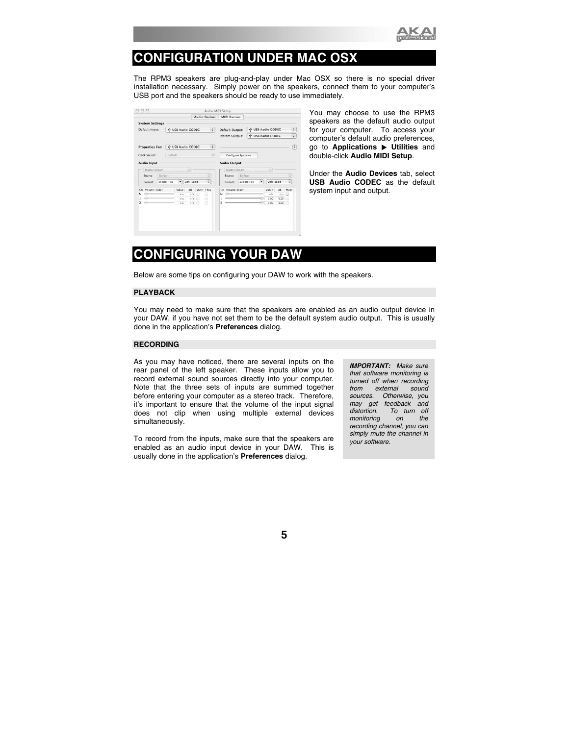

## **CONFIGURATION UNDER MAC OSX**

The RPM3 speakers are plug-and-play under Mac OSX so there is no special driver installation necessary. Simply power on the speakers, connect them to your computer's USB port and the speakers should be ready to use immediately.

|                                     |            |                          |               |           | <b>Audio Devices</b> |         | <b>MIDI Devices</b> |                   |              |           |                   |          |                   |
|-------------------------------------|------------|--------------------------|---------------|-----------|----------------------|---------|---------------------|-------------------|--------------|-----------|-------------------|----------|-------------------|
| <b>System Settings</b>              |            |                          |               |           |                      |         |                     |                   |              |           |                   |          |                   |
| Default Input:<br>V USB Audio CODEC |            | $\div$                   |               |           | Default Output:      |         |                     | V USB Audio CODEC |              |           |                   |          |                   |
|                                     |            |                          |               |           |                      |         | System Output:      |                   |              |           | V USB Audio CODEC |          | ÷                 |
| <b>Properties For:</b>              |            | V USB Audio CODEC        |               |           | ÷                    |         |                     |                   |              |           |                   |          | $\left( 2\right)$ |
| Clock Source:                       |            | Default                  |               |           | ÷                    |         | Configure Speakers  |                   |              |           |                   |          |                   |
| Audio Input                         |            |                          |               |           |                      |         | <b>Audio Output</b> |                   |              |           |                   |          |                   |
| Master Stream                       |            |                          | $\hat{\cdot}$ |           |                      |         | Master Stream       |                   |              |           | ÷                 |          |                   |
| Source:                             | Default    |                          |               |           | $\hat{\mathbf{v}}$   | Source: |                     |                   | ÷<br>Default |           |                   |          |                   |
| Format:                             | 44100.0 Hz | $\overline{\phantom{a}}$ | 2ch-16bit     |           | ÷                    |         | Format:             |                   | 44100.0 Hz   | $\bullet$ | 2ch-16bit         |          | ÷                 |
| Volume Slider<br>Ch                 |            | Value                    | dB            | Mute Thru |                      | Ch      | Volume Slider       |                   |              |           | Value             | dB       | Mute              |
| м<br>$\leftrightarrow$              |            | n/a                      | n/a           | ⊟         | ▣                    | м       | ≏                   |                   |              |           | n/a               | n/a      | 冊                 |
| $\ominus$<br>⇔                      |            | n/a                      | n/4           | 曲         | A                    |         |                     |                   |              |           | 1.00              | 0.00     | A                 |
| 2                                   |            | n/a                      | n/2           |           | ▣                    | 2       |                     |                   |              |           | 1.00              | $0.00 -$ | ▣                 |

You may choose to use the RPM3 speakers as the default audio output for your computer. To access your computer's default audio preferences, go to **Applications** X **Utilities** and double-click **Audio MIDI Setup**.

Under the **Audio Devices** tab, select **USB Audio CODEC** as the default system input and output.

## **CONFIGURING YOUR DAW**

Below are some tips on configuring your DAW to work with the speakers.

#### **PLAYBACK**

You may need to make sure that the speakers are enabled as an audio output device in your DAW, if you have not set them to be the default system audio output. This is usually done in the application's **Preferences** dialog.

#### **RECORDING**

As you may have noticed, there are several inputs on the rear panel of the left speaker. These inputs allow you to record external sound sources directly into your computer. Note that the three sets of inputs are summed together before entering your computer as a stereo track. Therefore, it's important to ensure that the volume of the input signal does not clip when using multiple external devices simultaneously.

To record from the inputs, make sure that the speakers are enabled as an audio input device in your DAW. This is usually done in the application's **Preferences** dialog.

*IMPORTANT: Make sure that software monitoring is turned off when recording from external sound sources. Otherwise, you may get feedback and distortion. To turn off monitoring* on *recording channel, you can simply mute the channel in your software.*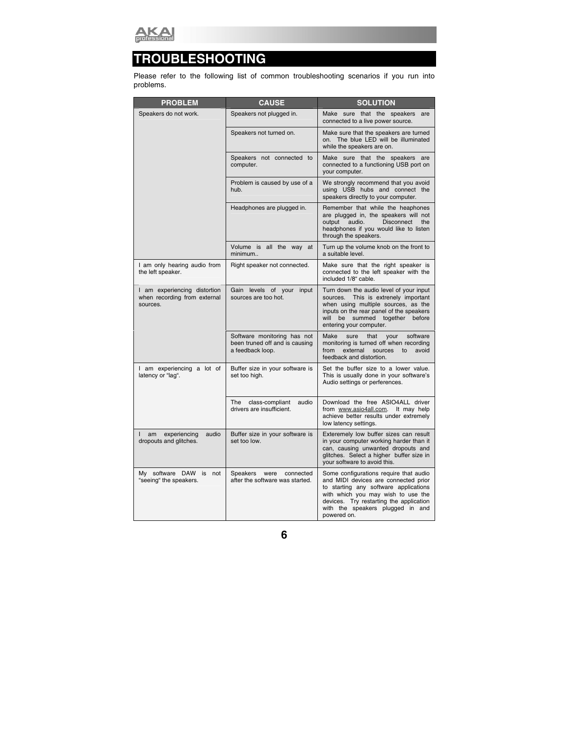

## **TROUBLESHOOTING**

Please refer to the following list of common troubleshooting scenarios if you run into problems.

| <b>PROBLEM</b>                                                           | <b>CAUSE</b>                                                                      | <b>SOLUTION</b>                                                                                                                                                                                                                                             |
|--------------------------------------------------------------------------|-----------------------------------------------------------------------------------|-------------------------------------------------------------------------------------------------------------------------------------------------------------------------------------------------------------------------------------------------------------|
| Speakers do not work.                                                    | Speakers not plugged in.                                                          | Make sure that the speakers<br>are<br>connected to a live power source.                                                                                                                                                                                     |
|                                                                          | Speakers not turned on.                                                           | Make sure that the speakers are turned<br>on. The blue LED will be illuminated<br>while the speakers are on.                                                                                                                                                |
|                                                                          | Speakers not connected to<br>computer.                                            | Make sure that the speakers are<br>connected to a functioning USB port on<br>your computer.                                                                                                                                                                 |
|                                                                          | Problem is caused by use of a<br>hub.                                             | We strongly recommend that you avoid<br>using USB hubs and connect the<br>speakers directly to your computer.                                                                                                                                               |
|                                                                          | Headphones are plugged in.                                                        | Remember that while the heaphones<br>are plugged in, the speakers will not<br><b>Disconnect</b><br>output<br>audio.<br>the<br>headphones if you would like to listen<br>through the speakers.                                                               |
|                                                                          | Volume is all the way at<br>minimum                                               | Turn up the volume knob on the front to<br>a suitable level.                                                                                                                                                                                                |
| I am only hearing audio from<br>the left speaker.                        | Right speaker not connected.                                                      | Make sure that the right speaker is<br>connected to the left speaker with the<br>included 1/8" cable.                                                                                                                                                       |
| I am experiencing distortion<br>when recording from external<br>sources. | Gain levels of your<br>input<br>sources are too hot.                              | Turn down the audio level of your input<br>sources. This is extrenely important<br>when using multiple sources, as the<br>inputs on the rear panel of the speakers<br>be summed together<br>will<br>before<br>entering your computer.                       |
|                                                                          | Software monitoring has not<br>been truned off and is causing<br>a feedback loop. | software<br>Make<br>sure<br>that<br>your<br>monitoring is turned off when recording<br>external<br>sources<br>from<br>to<br>avoid<br>feedback and distortion.                                                                                               |
| I am experiencing a lot of<br>latency or "lag".                          | Buffer size in your software is<br>set too high.                                  | Set the buffer size to a lower value.<br>This is usually done in your software's<br>Audio settings or perferences.                                                                                                                                          |
|                                                                          | The<br>class-compliant<br>audio<br>drivers are insufficient.                      | Download the free ASIO4ALL driver<br>from www.asio4all.com. It may help<br>achieve better results under extremely<br>low latency settings.                                                                                                                  |
| am<br>experiencing<br>audio<br>dropouts and glitches.                    | Buffer size in your software is<br>set too low.                                   | Exteremely low buffer sizes can result<br>in your computer working harder than it<br>can, causing unwanted dropouts and<br>glitches. Select a higher buffer size in<br>your software to avoid this.                                                         |
| My software DAW<br>is not<br>"seeing" the speakers.                      | Speakers<br>were<br>connected<br>after the software was started.                  | Some configurations require that audio<br>and MIDI devices are connected prior<br>to starting any software applications<br>with which you may wish to use the<br>devices. Try restarting the application<br>with the speakers plugged in and<br>powered on. |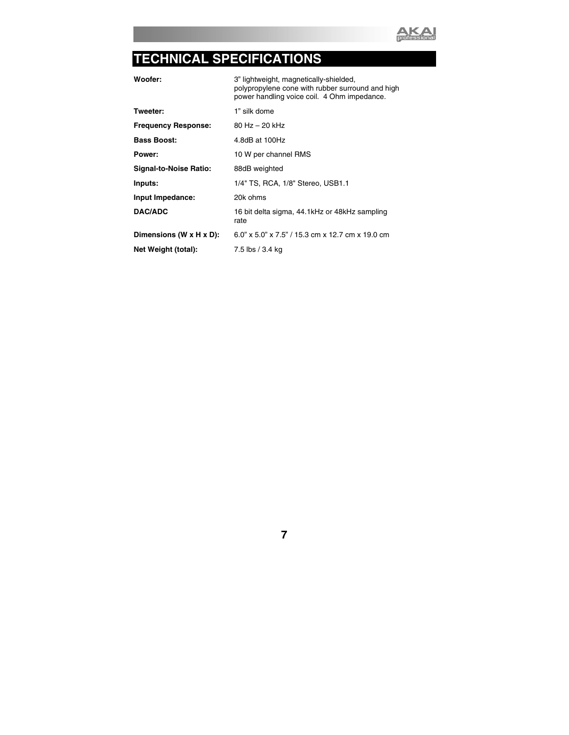

## **TECHNICAL SPECIFICATIONS**

**Woofer:** 3" lightweight, magnetically-shielded, polypropylene cone with rubber surround and high power handling voice coil. 4 Ohm impedance.

- **Tweeter:** 1" silk dome
- Frequency Response: 80 Hz 20 kHz **Bass Boost:** 4.8dB at 100Hz

**Power:** 10 W per channel RMS

**Signal-to-Noise Ratio:** 88dB weighted

**Inputs:** 1/4" TS, RCA, 1/8" Stereo, USB1.1

**Input Impedance:** 20k ohms

**DAC/ADC** 16 bit delta sigma, 44.1kHz or 48kHz sampling

**Dimensions (W x H x D):** 6.0" x 5.0" x 7.5" / 15.3 cm x 12.7 cm x 19.0 cm

rate

**Net Weight (total):** 7.5 lbs / 3.4 kg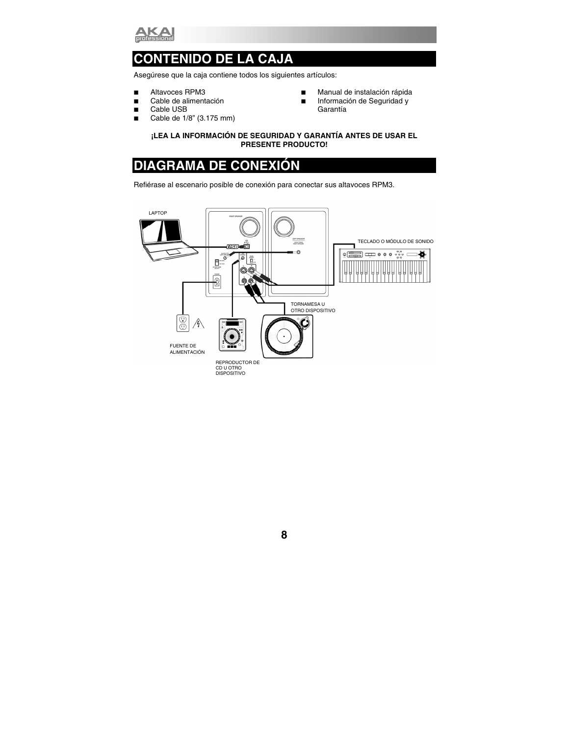

## **CONTENIDO DE LA CAJA**

Asegúrese que la caja contiene todos los siguientes artículos:

- Altavoces RPM3
- Cable de alimentación
- Cable USB
- Cable de  $1/8$ " (3.175 mm)
- **Manual de instalación rápida**
- **Información de Seguridad y** Garantía

#### **¡LEA LA INFORMACIÓN DE SEGURIDAD Y GARANTÍA ANTES DE USAR EL PRESENTE PRODUCTO!**

## **DIAGRAMA DE CONEXIÓN**

Refiérase al escenario posible de conexión para conectar sus altavoces RPM3.

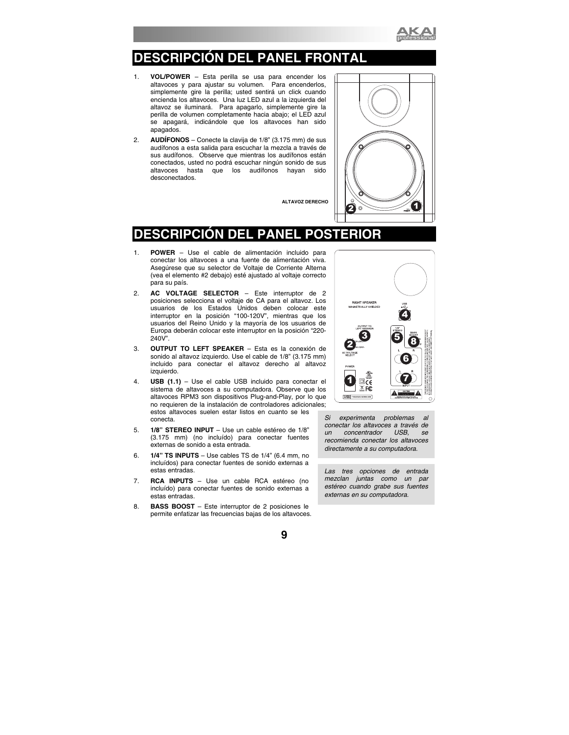

## **DESCRIPCIÓN DEL PANEL FRONTAL**

- 1. **VOL/POWER** Esta perilla se usa para encender los altavoces y para ajustar su volumen. Para encenderlos, simplemente gire la perilla; usted sentirá un click cuando encienda los altavoces. Una luz LED azul a la izquierda del altavoz se iluminará. Para apagarlo, simplemente gire la perilla de volumen completamente hacia abajo; el LED azul se apagará, indicándole que los altavoces han sido apagados.
- 2. **AUDÍFONOS** Conecte la clavija de 1/8" (3.175 mm) de sus audífonos a esta salida para escuchar la mezcla a través de sus audífonos. Observe que mientras los audífonos están conectados, usted no podrá escuchar ningún sonido de sus hasta que los audífonos hayan sido desconectados.

**ALTAVOZ DERECHO** 



### **DESCRIPCIÓN DEL PANEL POSTER**

- 1. **POWER** Use el cable de alimentación incluido para conectar los altavoces a una fuente de alimentación viva. Asegúrese que su selector de Voltaje de Corriente Alterna (vea el elemento #2 debajo) esté ajustado al voltaje correcto para su país.
- 2. **AC VOLTAGE SELECTOR** Este interruptor de 2 posiciones selecciona el voltaje de CA para el altavoz. Los usuarios de los Estados Unidos deben colocar este interruptor en la posición "100-120V", mientras que los usuarios del Reino Unido y la mayoría de los usuarios de Europa deberán colocar este interruptor en la posición "220- 240V".
- 3. **OUTPUT TO LEFT SPEAKER**  Esta es la conexión de sonido al altavoz izquierdo. Use el cable de 1/8" (3.175 mm) incluido para conectar el altavoz derecho al altavoz izquierdo.
- 4. **USB (1.1)**  Use el cable USB incluido para conectar el sistema de altavoces a su computadora. Observe que los altavoces RPM3 son dispositivos Plug-and-Play, por lo que no requieren de la instalación de controladores adicionales; estos altavoces suelen estar listos en cuanto se les conecta.
- 5. **1/8" STEREO INPUT**  Use un cable estéreo de 1/8" (3.175 mm) (no incluído) para conectar fuentes externas de sonido a esta entrada.
- 6. **1/4" TS INPUTS**  Use cables TS de 1/4" (6.4 mm, no incluídos) para conectar fuentes de sonido externas a estas entradas.
- 7. **RCA INPUTS** Use un cable RCA estéreo (no incluído) para conectar fuentes de sonido externas a estas entradas.
- 8. **BASS BOOST**  Este interruptor de 2 posiciones le permite enfatizar las frecuencias bajas de los altavoces.



*Si experimenta problemas al conectar los altavoces a través de un concentrador USB, se recomienda conectar los altavoces directamente a su computadora.* 

*Las tres opciones de entrada mezclan juntas como un par estéreo cuando grabe sus fuentes externas en su computadora.*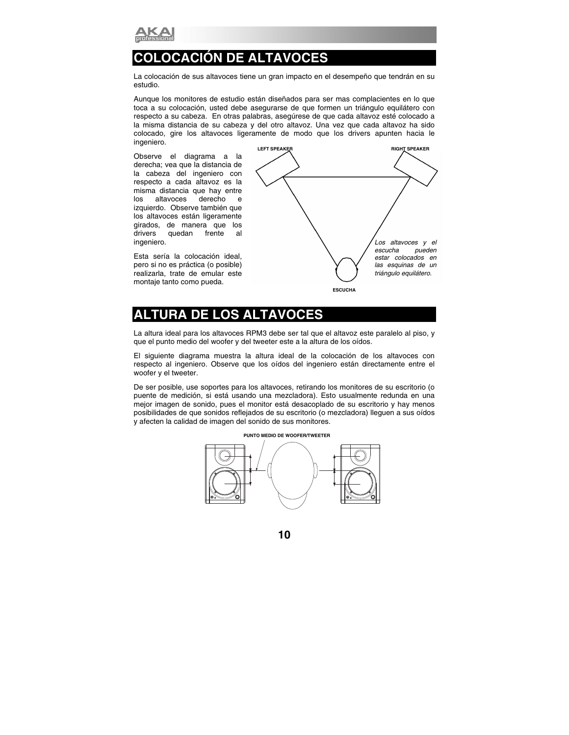

## **COLOCACIÓN DE ALTAVOCES**

La colocación de sus altavoces tiene un gran impacto en el desempeño que tendrán en su estudio.

Aunque los monitores de estudio están diseñados para ser mas complacientes en lo que toca a su colocación, usted debe asegurarse de que formen un triángulo equilátero con respecto a su cabeza. En otras palabras, asegúrese de que cada altavoz esté colocado a la misma distancia de su cabeza y del otro altavoz. Una vez que cada altavoz ha sido colocado, gire los altavoces ligeramente de modo que los drivers apunten hacia le ingeniero.

Observe el diagrama a la derecha; vea que la distancia de la cabeza del ingeniero con respecto a cada altavoz es la misma distancia que hay entre los altavoces derecho e izquierdo. Observe también que los altavoces están ligeramente girados, de manera que los drivers quedan frente al ingeniero.

Esta sería la colocación ideal, pero si no es práctica (o posible) realizarla, trate de emular este montaje tanto como pueda.



### **ALTURA DE LOS ALTAVOCES**

La altura ideal para los altavoces RPM3 debe ser tal que el altavoz este paralelo al piso, y que el punto medio del woofer y del tweeter este a la altura de los oídos.

El siguiente diagrama muestra la altura ideal de la colocación de los altavoces con respecto al ingeniero. Observe que los oídos del ingeniero están directamente entre el woofer y el tweeter.

De ser posible, use soportes para los altavoces, retirando los monitores de su escritorio (o puente de medición, si está usando una mezcladora). Esto usualmente redunda en una mejor imagen de sonido, pues el monitor está desacoplado de su escritorio y hay menos posibilidades de que sonidos reflejados de su escritorio (o mezcladora) lleguen a sus oídos y afecten la calidad de imagen del sonido de sus monitores.

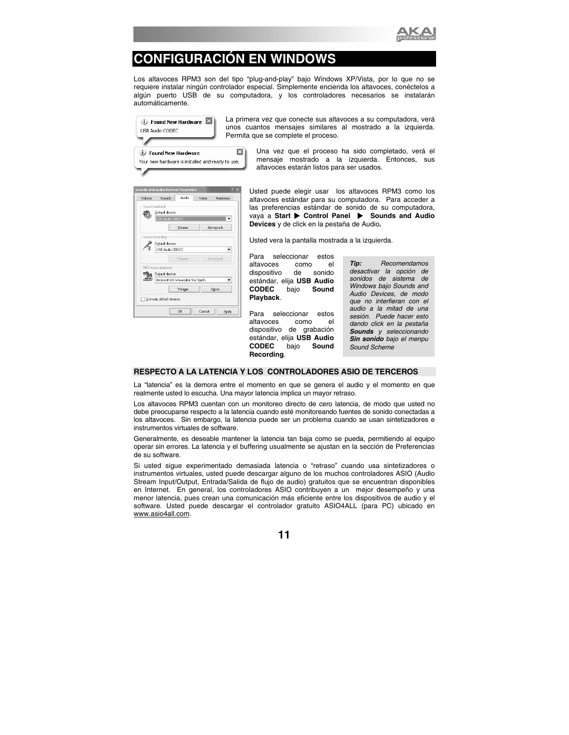

## **CONFIGURACIÓN EN WINDOWS**

Los altavoces RPM3 son del tipo "plug-and-play" bajo Windows XP/Vista, por lo que no se requiere instalar ningún controlador especial. Simplemente encienda los altavoces, conéctelos a algún puerto USB de su computadora, y los controladores necesarios se instalarán automáticamente.



La primera vez que conecte sus altavoces a su computadora, verá unos cuantos mensajes similares al mostrado a la izquierda. Permita que se complete el proceso.

> Una vez que el proceso ha sido completado, verá el mensaje mostrado a la izquierda. Entonces, sus altavoces estarán listos para ser usados.

| Volume | Audio<br>Sounds<br>Voice        | Hardware |
|--------|---------------------------------|----------|
|        | Sound playback                  |          |
|        | Default device:                 |          |
|        | USB Audio CODEC                 |          |
|        | Volume<br>Advanced              |          |
|        | Sound recording                 |          |
|        | Default device:                 |          |
|        | USB Audio CODEC                 |          |
|        |                                 |          |
|        | Advanced<br>Volume              |          |
|        | MIDI music playback             |          |
|        | Default device:                 |          |
|        | Microsoft GS Wavetable SW Synth |          |
|        |                                 |          |
|        |                                 |          |
|        | About<br>Volume                 |          |
|        | Use only default devices        |          |

Usted puede elegir usar los altavoces RPM3 como los altavoces estándar para su computadora. Para acceder a las preferencias estándar de sonido de su computadora, **vaya a Start**  $\triangleright$  **Control Panel**  $\triangleright$  **Sounds and Audio Devices** y de click en la pestaña de Audio**.** 

Usted vera la pantalla mostrada a la izquierda.

Para seleccionar estos altavoces como el dispositivo de sonido estándar, elija **USB Audio CODEC** bajo **Sound Playback**.

Para seleccionar estos altavoces como el dispositivo de grabación estándar, elija **USB Audio CODEC** bajo **Sound Recording**.

*Tip: Recomendamos desactivar la opción de sonidos de sistema de Windows bajo Sounds and Audio Devices, de modo que no interfieran con el audio a la mitad de una sesión. Puede hacer esto dando click en la pestaña Sounds y seleccionando Sin sonido bajo el menpu Sound Scheme* 

#### **RESPECTO A LA LATENCIA Y LOS CONTROLADORES ASIO DE TERCEROS**

La "latencia" es la demora entre el momento en que se genera el audio y el momento en que realmente usted lo escucha. Una mayor latencia implica un mayor retraso.

Los altavoces RPM3 cuentan con un monitoreo directo de cero latencia, de modo que usted no debe preocuparse respecto a la latencia cuando esté monitoreando fuentes de sonido conectadas a los altavoces. Sin embargo, la latencia puede ser un problema cuando se usan sintetizadores e instrumentos virtuales de software.

Generalmente, es deseable mantener la latencia tan baja como se pueda, permitiendo al equipo operar sin errores. La latencia y el buffering usualmente se ajustan en la sección de Preferencias de su software.

Si usted sigue experimentado demasiada latencia o "retraso" cuando usa sintetizadores o instrumentos virtuales, usted puede descargar alguno de los muchos controladores ASIO (Audio Stream Input/Output, Entrada/Salida de flujo de audio) gratuitos que se encuentran disponibles en Internet. En general, los controladores ASIO contribuyen a un mejor desempeño y una menor latencia, pues crean una comunicación más eficiente entre los dispositivos de audio y el software. Usted puede descargar el controlador gratuito ASIO4ALL (para PC) ubicado en www.asio4all.com.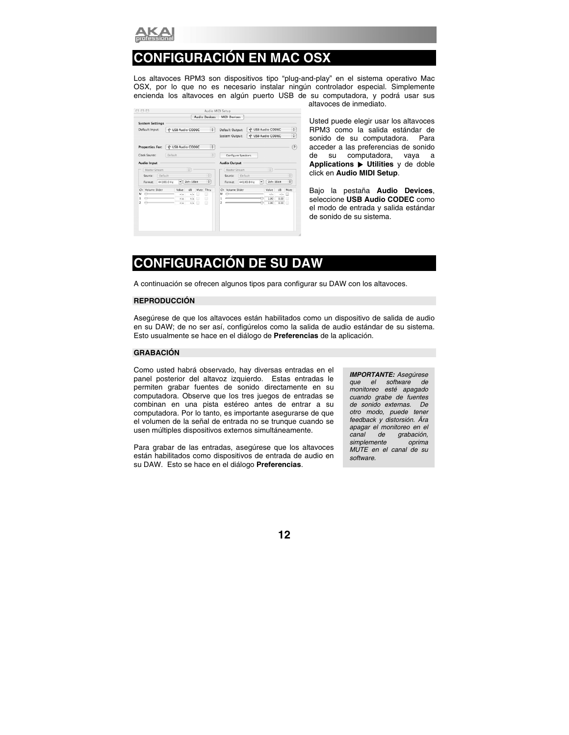

## **CONFIGURACIÓN EN MAC OSX**

Los altavoces RPM3 son dispositivos tipo "plug-and-play" en el sistema operativo Mac OSX, por lo que no es necesario instalar ningún controlador especial. Simplemente encienda los altavoces en algún puerto USB de su computadora, y podrá usar sus

|                          |                        |   | <b>Audio Devices</b> |    | <b>MIDI Devices</b> |         |            |   |                      |      |                   |
|--------------------------|------------------------|---|----------------------|----|---------------------|---------|------------|---|----------------------|------|-------------------|
| <b>System Settings</b>   |                        |   |                      |    |                     |         |            |   |                      |      |                   |
| Default Input:           | V USB Audio CODEC      |   | $\ddot{\cdot}$       |    | Default Output:     |         |            |   | V USB Audio CODEC    |      | ÷                 |
|                          |                        |   |                      |    | System Output:      |         |            |   | V USB Audio CODEC    |      | ÷                 |
| <b>Properties For:</b>   | V USB Audio CODEC      |   | ÷                    |    |                     |         |            |   |                      |      | $\left( 2\right)$ |
| Default<br>Clock Source: |                        |   | ÷                    |    | Configure Speakers  |         |            |   |                      |      |                   |
| Audio Input              |                        |   |                      |    | <b>Audio Output</b> |         |            |   |                      |      |                   |
| Master Stream            | $\ddot{\phantom{a}}$   |   |                      |    | Master Stream       |         |            |   | $\ddot{\phantom{1}}$ |      |                   |
| Default<br>Source:       |                        |   | $\hat{\mathbf{v}}$   |    | Source:             | Default |            |   |                      |      | ÷                 |
| 44100.0 Hz<br>Format:    | $2ch-16bit$<br>$\cdot$ |   | $\ddot{\cdot}$       |    | Format:             |         | 44100.0 Hz | ۰ | $2ch-16bit$          |      | ٠                 |
| Volume Slider<br>Ch      | Value<br>dB            |   | Mute Thru            | Ch | Volume Slider       |         |            |   | Value                | dB   | Mute              |
| ⇔<br>M                   | n/a<br>n/a             | m | ▣                    | м  |                     |         |            |   | n/a                  | n/a  | ▣                 |
| $\ominus$<br>⇔<br>2      | n/4<br>n/a             | 冊 | A<br>▣               | 2  |                     |         |            |   | 1.00<br>1.00         | 0.00 | A                 |
|                          | n/2<br>n/a             | ▣ |                      |    |                     |         |            |   |                      | 0.00 |                   |
|                          |                        |   |                      |    |                     |         |            |   |                      |      |                   |
|                          |                        |   |                      |    |                     |         |            |   |                      |      |                   |
|                          |                        |   |                      |    |                     |         |            |   |                      |      |                   |

altavoces de inmediato.

Usted puede elegir usar los altavoces RPM3 como la salida estándar de sonido de su computadora. Para acceder a las preferencias de sonido de su computadora, vaya a **Applications** X **Utilities** y de doble click en **Audio MIDI Setup**.

Bajo la pestaña **Audio Devices**, seleccione **USB Audio CODEC** como el modo de entrada y salida estándar de sonido de su sistema.

## **CONFIGURACIÓN DE SU DAW**

A continuación se ofrecen algunos tipos para configurar su DAW con los altavoces.

#### **REPRODUCCIÓN**

Asegúrese de que los altavoces están habilitados como un dispositivo de salida de audio en su DAW; de no ser así, configúrelos como la salida de audio estándar de su sistema. Esto usualmente se hace en el diálogo de **Preferencias** de la aplicación.

#### **GRABACIÓN**

Como usted habrá observado, hay diversas entradas en el panel posterior del altavoz izquierdo. Estas entradas le permiten grabar fuentes de sonido directamente en su computadora. Observe que los tres juegos de entradas se combinan en una pista estéreo antes de entrar a su computadora. Por lo tanto, es importante asegurarse de que el volumen de la señal de entrada no se trunque cuando se usen múltiples dispositivos externos simultáneamente.

Para grabar de las entradas, asegúrese que los altavoces están habilitados como dispositivos de entrada de audio en su DAW. Esto se hace en el diálogo **Preferencias**.

*IMPORTANTE: Asegúrese que el software de monitoreo esté apagado cuando grabe de fuentes de sonido externas. De otro modo, puede tener feedback y distorsión. Ära apagar el monitoreo en el canal de grabación, simplemente oprima MUTE en el canal de su software.*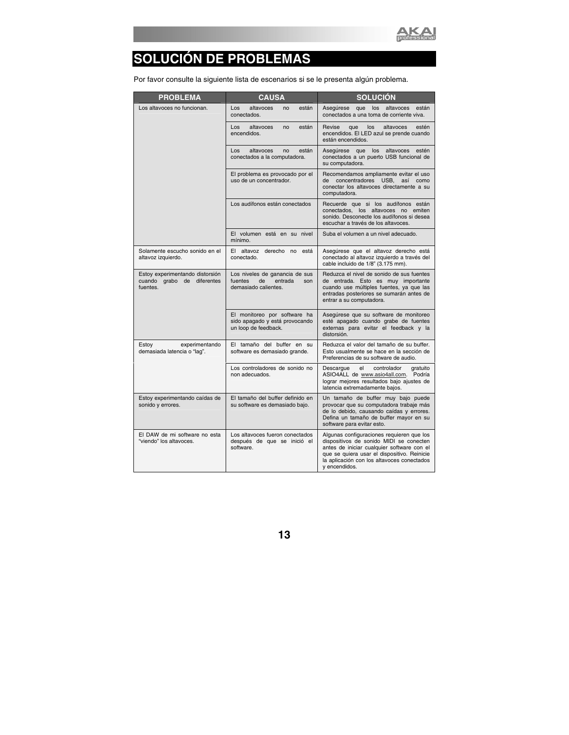

# **SOLUCIÓN DE PROBLEMAS**

Por favor consulte la siguiente lista de escenarios si se le presenta algún problema.

| <b>PROBLEMA</b>                                                           | <b>CAUSA</b>                                                                              | <b>SOLUCIÓN</b>                                                                                                                                                                                                                                  |
|---------------------------------------------------------------------------|-------------------------------------------------------------------------------------------|--------------------------------------------------------------------------------------------------------------------------------------------------------------------------------------------------------------------------------------------------|
| Los altavoces no funcionan.                                               | están<br>Los<br>altavoces<br>no<br>conectados.                                            | que los altavoces<br>Aseqúrese<br>están<br>conectados a una toma de corriente viva.                                                                                                                                                              |
|                                                                           | Los<br>altavoces<br>están<br>no<br>encendidos.                                            | Revise<br>estén<br>que<br>los<br>altavoces<br>encendidos. El LED azul se prende cuando<br>están encendidos.                                                                                                                                      |
|                                                                           | Los<br>están<br>altavoces<br>no<br>conectados a la computadora.                           | Asegúrese que<br>los altavoces<br>estén<br>conectados a un puerto USB funcional de<br>su computadora.                                                                                                                                            |
|                                                                           | El problema es provocado por el<br>uso de un concentrador.                                | Recomendamos ampliamente evitar el uso<br>concentradores USB, así como<br>de<br>conectar los altavoces directamente a su<br>computadora.                                                                                                         |
|                                                                           | Los audífonos están conectados                                                            | Recuerde que si los audífonos están<br>conectados, los altavoces no emiten<br>sonido. Desconecte los audífonos si desea<br>escuchar a través de los altavoces.                                                                                   |
|                                                                           | El volumen está en su nivel<br>mínimo.                                                    | Suba el volumen a un nivel adecuado.                                                                                                                                                                                                             |
| Solamente escucho sonido en el<br>altavoz izquierdo.                      | El altavoz derecho no está<br>conectado.                                                  | Asegúrese que el altavoz derecho está<br>conectado al altavoz izquierdo a través del<br>cable incluido de 1/8" (3.175 mm).                                                                                                                       |
| Estoy experimentando distorsión<br>cuando grabo de diferentes<br>fuentes. | Los niveles de ganancia de sus<br>de<br>entrada<br>fuentes<br>son<br>demasiado calientes. | Reduzca el nivel de sonido de sus fuentes<br>de entrada. Esto es muy importante<br>cuando use múltiples fuentes, ya que las<br>entradas posteriores se sumarán antes de<br>entrar a su computadora.                                              |
|                                                                           | El monitoreo por software ha<br>sido apagado y está provocando<br>un loop de feedback.    | Asegúrese que su software de monitoreo<br>esté apagado cuando grabe de fuentes<br>externas para evitar el feedback y la<br>distorsión.                                                                                                           |
| Estoy<br>experimentando<br>demasiada latencia o "lag".                    | El tamaño del buffer en su<br>software es demasiado grande.                               | Reduzca el valor del tamaño de su buffer.<br>Esto usualmente se hace en la sección de<br>Preferencias de su software de audio.                                                                                                                   |
|                                                                           | Los controladores de sonido no<br>non adecuados.                                          | Descargue<br>el<br>controlador<br>gratuito<br>ASIO4ALL de www.asio4all.com. Podría<br>lograr mejores resultados bajo ajustes de<br>latencia extremadamente bajos.                                                                                |
| Estoy experimentando caídas de<br>sonido y errores.                       | El tamaño del buffer definido en<br>su software es demasiado bajo.                        | Un tamaño de buffer muy bajo puede<br>provocar que su computadora trabaje más<br>de lo debido, causando caídas y errores.<br>Defina un tamaño de buffer mayor en su<br>software para evitar esto.                                                |
| El DAW de mi software no esta<br>"viendo" los altavoces.                  | Los altavoces fueron conectados<br>después de que se inició el<br>software.               | Algunas configuraciones requieren que los<br>dispositivos de sonido MIDI se conecten<br>antes de iniciar cualquier software con el<br>que se quiera usar el dispositivo. Reinicie<br>la aplicación con los altavoces conectados<br>v encendidos. |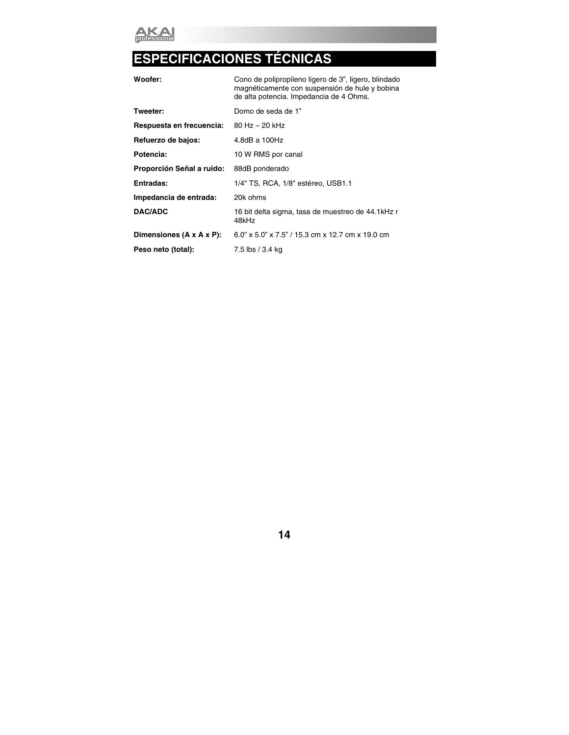

# **ESPECIFICACIONES TÉCNICAS**

| Woofer:                   | Cono de polipropileno ligero de 3", ligero, blindado<br>magnéticamente con suspensión de hule y bobina<br>de alta potencia. Impedancia de 4 Ohms. |
|---------------------------|---------------------------------------------------------------------------------------------------------------------------------------------------|
| Tweeter:                  | Domo de seda de 1"                                                                                                                                |
| Respuesta en frecuencia:  | 80 Hz - 20 kHz                                                                                                                                    |
| Refuerzo de bajos:        | 4.8dB a $100Hz$                                                                                                                                   |
| Potencia:                 | 10 W RMS por canal                                                                                                                                |
| Proporción Señal a ruido: | 88dB ponderado                                                                                                                                    |
| Entradas:                 | 1/4" TS, RCA, 1/8" estéreo, USB1.1                                                                                                                |
| Impedancia de entrada:    | 20k ohms                                                                                                                                          |
| DAC/ADC                   | 16 bit delta sigma, tasa de muestreo de 44.1kHz r<br>48kHz                                                                                        |
| Dimensiones (A x A x P):  | 6.0" x 5.0" x 7.5" / 15.3 cm x 12.7 cm x 19.0 cm                                                                                                  |
| Peso neto (total):        | 7.5 lbs / 3.4 kg                                                                                                                                  |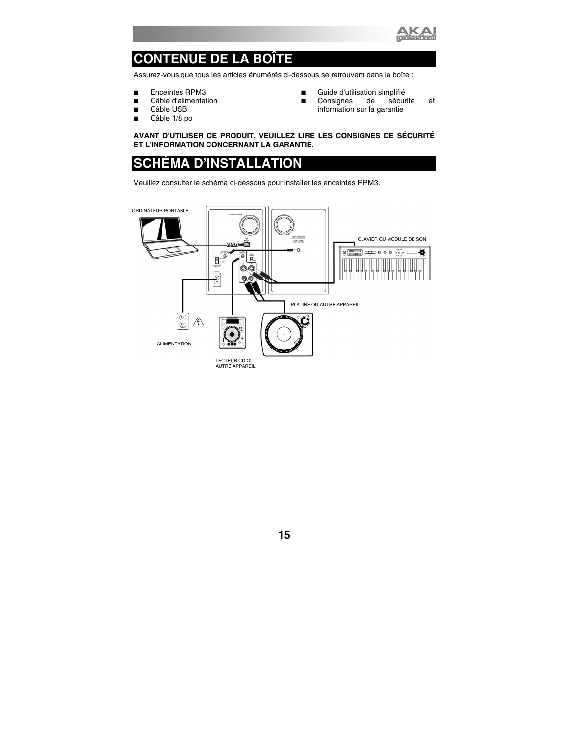

## **CONTENUE DE LA BOÎTE**

Assurez-vous que tous les articles énumérés ci-dessous se retrouvent dans la boîte :

- Enceintes RPM3
- Câble d'alimentation
- Câble USB
- Câble 1/8 po
- **Guide d'utilisation simplifié**
- Consignes de sécurité et information sur la garantie

**AVANT D'UTILISER CE PRODUIT, VEUILLEZ LIRE LES CONSIGNES DE SÉCURITÉ ET L'INFORMATION CONCERNANT LA GARANTIE.** 

### **SCHÉMA D'INSTALLATION**

Veuillez consulter le schéma ci-dessous pour installer les enceintes RPM3.

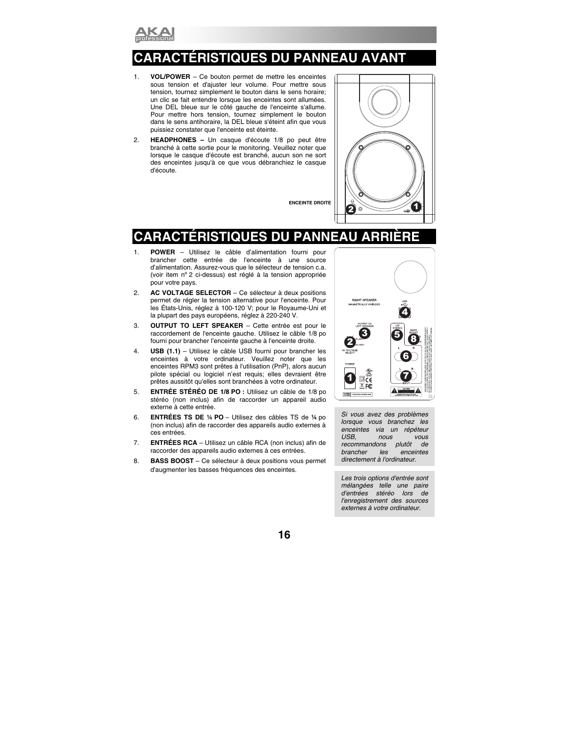

## **CARACTÉRISTIQUES DU PANNEAU AVANT**

- 1. **VOL/POWER** Ce bouton permet de mettre les enceintes sous tension et d'ajuster leur volume. Pour mettre sous tension, tournez simplement le bouton dans le sens horaire; un clic se fait entendre lorsque les enceintes sont allumées. Une DEL bleue sur le côté gauche de l'enceinte s'allume. Pour mettre hors tension, tournez simplement le bouton dans le sens antihoraire, la DEL bleue s'éteint afin que vous puissiez constater que l'enceinte est éteinte.
- 2. **HEADPHONES –** Un casque d'écoute 1/8 po peut être branché à cette sortie pour le monitoring. Veuillez noter que lorsque le casque d'écoute est branché, aucun son ne sort des enceintes jusqu'à ce que vous débranchiez le casque d'écoute.

**ENCEINTE DROITE** 



## **CARACTÉRISTIQUES DU PANNEAU ARRIÈRE**

- 1. **POWER** Utilisez le câble d'alimentation fourni pour brancher cette entrée de l'enceinte à une source d'alimentation. Assurez-vous que le sélecteur de tension c.a. (voir item nº 2 ci-dessus) est réglé à la tension appropriée pour votre pays.
- 2. **AC VOLTAGE SELECTOR** Ce sélecteur à deux positions permet de régler la tension alternative pour l'enceinte. Pour les États-Unis, réglez à 100-120 V; pour le Royaume-Uni et la plupart des pays européens, réglez à 220-240 V.
- 3. **OUTPUT TO LEFT SPEAKER**  Cette entrée est pour le raccordement de l'enceinte gauche. Utilisez le câble 1/8 po fourni pour brancher l'enceinte gauche à l'enceinte droite.
- 4. **USB (1.1)**  Utilisez le câble USB fourni pour brancher les enceintes à votre ordinateur. Veuillez noter que les enceintes RPM3 sont prêtes à l'utilisation (PnP), alors aucun pilote spécial ou logiciel n'est requis; elles devraient être prêtes aussitôt qu'elles sont branchées à votre ordinateur.
- 5. **ENTRÉE STÉRÉO DE 1/8 PO :** Utilisez un câble de 1/8 po stéréo (non inclus) afin de raccorder un appareil audio externe à cette entrée.
- 6. **ENTRÉES TS DE ¼ PO**  Utilisez des câbles TS de **¼** po (non inclus) afin de raccorder des appareils audio externes à ces entrées.
- 7. **ENTRÉES RCA** Utilisez un câble RCA (non inclus) afin de raccorder des appareils audio externes à ces entrées.
- 8. **BASS BOOST**  Ce sélecteur à deux positions vous permet d'augmenter les basses fréquences des enceintes.



*Si vous avez des problèmes lorsque vous branchez les enceintes via un répéteur USB, nous vous recommandons plutôt de brancher les enceintes directement à l'ordinateur.* 

*Les trois options d'entrée sont mélangées telle une paire d'entrées stéréo lors de l'enregistrement des sources externes à votre ordinateur.*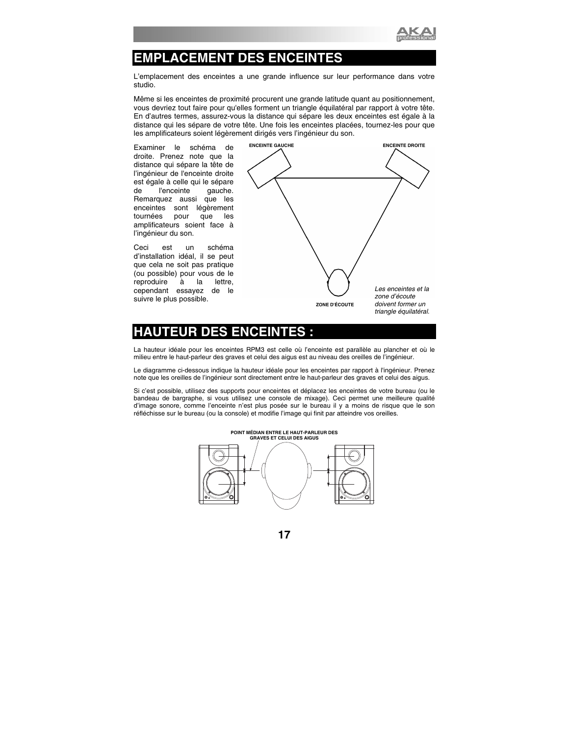

## **EMPLACEMENT DES ENCEINTES**

L'emplacement des enceintes a une grande influence sur leur performance dans votre studio.

Même si les enceintes de proximité procurent une grande latitude quant au positionnement, vous devriez tout faire pour qu'elles forment un triangle équilatéral par rapport à votre tête. En d'autres termes, assurez-vous la distance qui sépare les deux enceintes est égale à la distance qui les sépare de votre tête. Une fois les enceintes placées, tournez-les pour que les amplificateurs soient légèrement dirigés vers l'ingénieur du son.

Examiner le schéma de droite. Prenez note que la distance qui sépare la tête de l'ingénieur de l'enceinte droite est égale à celle qui le sépare<br>de l'enceinte aauche. de l'enceinte Remarquez aussi que les enceintes sont légèrement tournées pour que les amplificateurs soient face à l'ingénieur du son.

Ceci est un schéma d'installation idéal, il se peut que cela ne soit pas pratique (ou possible) pour vous de le reproduire à la lettre, cependant essayez de le suivre le plus possible.



## **EUR DES ENCEINT**

La hauteur idéale pour les enceintes RPM3 est celle où l'enceinte est parallèle au plancher et où le milieu entre le haut-parleur des graves et celui des aigus est au niveau des oreilles de l'ingénieur.

Le diagramme ci-dessous indique la hauteur idéale pour les enceintes par rapport à l'ingénieur. Prenez note que les oreilles de l'ingénieur sont directement entre le haut-parleur des graves et celui des aigus.

Si c'est possible, utilisez des supports pour enceintes et déplacez les enceintes de votre bureau (ou le bandeau de bargraphe, si vous utilisez une console de mixage). Ceci permet une meilleure qualité d'image sonore, comme l'enceinte n'est plus posée sur le bureau il y a moins de risque que le son réfléchisse sur le bureau (ou la console) et modifie l'image qui finit par atteindre vos oreilles.

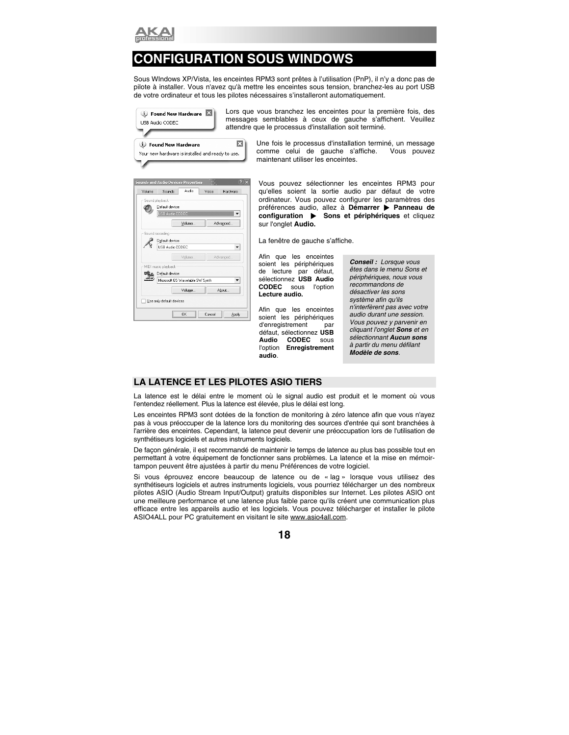

## **CONFIGURATION SOUS WINDOWS**

Sous WIndows XP/Vista, les enceintes RPM3 sont prêtes à l'utilisation (PnP), il n'y a donc pas de pilote à installer. Vous n'avez qu'à mettre les enceintes sous tension, branchez-les au port USB de votre ordinateur et tous les pilotes nécessaires s'installeront automatiquement.

| D Found New Hardware<br>USB Audio CODEC                                           | Lors<br>mess<br>attend |
|-----------------------------------------------------------------------------------|------------------------|
| <b>(i)</b> Found New Hardware<br>Your new hardware is installed and ready to use. |                        |

que vous branchez les enceintes pour la première fois, des ages semblables à ceux de gauche s'affichent. Veuillez Ire que le processus d'installation soit terminé.

> Une fois le processus d'installation terminé, un message comme celui de gauche s'affiche. Vous pouvez maintenant utiliser les enceintes.

| Volume                   | <b>Sounds and Audio Devices Properties</b><br>Sounds | Audio                           | Vnice | Hardware |  |  |  |
|--------------------------|------------------------------------------------------|---------------------------------|-------|----------|--|--|--|
|                          |                                                      |                                 |       |          |  |  |  |
| Sound playback           |                                                      |                                 |       |          |  |  |  |
|                          | Default device:                                      |                                 |       |          |  |  |  |
|                          | USB Audio CODEC                                      |                                 |       |          |  |  |  |
|                          |                                                      | Volume                          |       | Advanced |  |  |  |
| Sound recording          |                                                      |                                 |       |          |  |  |  |
|                          | Default device:                                      |                                 |       |          |  |  |  |
|                          | <b>LISB Audio CODEC</b>                              |                                 |       |          |  |  |  |
|                          |                                                      | Volume                          |       | Advanced |  |  |  |
|                          |                                                      |                                 |       |          |  |  |  |
|                          | MIDI music playback                                  |                                 |       |          |  |  |  |
|                          | Default device:                                      |                                 |       |          |  |  |  |
|                          |                                                      | Microsoft GS Wavetable SW Synth |       |          |  |  |  |
|                          |                                                      | Volume                          |       | About    |  |  |  |
| Use only default devices |                                                      |                                 |       |          |  |  |  |
|                          |                                                      |                                 |       |          |  |  |  |

Vous pouvez sélectionner les enceintes RPM3 pour qu'elles soient la sortie audio par défaut de votre ordinateur. Vous pouvez configurer les paramètres des préférences audio, allez à **Démarrer** X **Panneau de configuration**  $\triangleright$  **Sons et périphériques** et cliquez sur l'onglet **Audio.** 

La fenêtre de gauche s'affiche.

Afin que les enceintes soient les périphériques de lecture par défaut, sélectionnez **USB Audio CODEC** sous l'option **Lecture audio.**

Afin que les enceintes soient les périphériques d'enregistrement par défaut, sélectionnez **USB Audio CODEC** sous l'option **Enregistrement audio**.

*Conseil : Lorsque vous êtes dans le menu Sons et périphériques, nous vous recommandons de désactiver les sons système afin qu'ils n'interfèrent pas avec votre audio durant une session. Vous pouvez y parvenir en cliquant l'onglet Sons et en sélectionnant Aucun sons à partir du menu défilant Modèle de sons.* 

#### **LA LATENCE ET LES PILOTES ASIO TIERS**

La latence est le délai entre le moment où le signal audio est produit et le moment où vous l'entendez réellement. Plus la latence est élevée, plus le délai est long.

Les enceintes RPM3 sont dotées de la fonction de monitoring à zéro latence afin que vous n'ayez pas à vous préoccuper de la latence lors du monitoring des sources d'entrée qui sont branchées à l'arrière des enceintes. Cependant, la latence peut devenir une préoccupation lors de l'utilisation de synthétiseurs logiciels et autres instruments logiciels.

De façon générale, il est recommandé de maintenir le temps de latence au plus bas possible tout en permettant à votre équipement de fonctionner sans problèmes. La latence et la mise en mémoirtampon peuvent être ajustées à partir du menu Préférences de votre logiciel.

Si vous éprouvez encore beaucoup de latence ou de « lag » lorsque vous utilisez des synthétiseurs logiciels et autres instruments logiciels, vous pourriez télécharger un des nombreux pilotes ASIO (Audio Stream Input/Output) gratuits disponibles sur Internet. Les pilotes ASIO ont une meilleure performance et une latence plus faible parce qu'ils créent une communication plus efficace entre les appareils audio et les logiciels. Vous pouvez télécharger et installer le pilote ASIO4ALL pour PC gratuitement en visitant le site www.asio4all.com.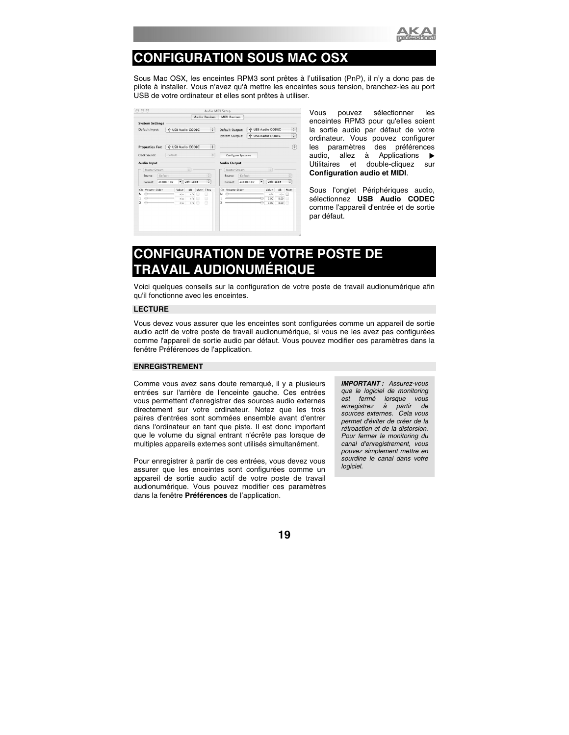

## **CONFIGURATION SOUS MAC OSX**

Sous Mac OSX, les enceintes RPM3 sont prêtes à l'utilisation (PnP), il n'y a donc pas de pilote à installer. Vous n'avez qu'à mettre les enceintes sous tension, branchez-les au port USB de votre ordinateur et elles sont prêtes à utiliser.

|                                     |            |                   |             |      | Audio Devices        |    | <b>MIDI Devices</b> |         |            |   |                   |      |      |
|-------------------------------------|------------|-------------------|-------------|------|----------------------|----|---------------------|---------|------------|---|-------------------|------|------|
| <b>System Settings</b>              |            |                   |             |      |                      |    |                     |         |            |   |                   |      |      |
| Default Input:<br>V USB Audio CODEC |            |                   | ÷           |      | Default Output:      |    | V USB Audio CODEC   |         |            |   |                   |      |      |
|                                     |            |                   |             |      |                      |    | System Output:      |         |            |   | V USB Audio CODEC |      | ÷    |
| <b>Properties For:</b>              |            | V USB Audio CODEC |             |      | ÷                    |    |                     |         |            |   |                   |      | (2)  |
| Clock Source:                       | Default    |                   |             |      | ÷                    |    | Configure Speakers  |         |            |   |                   |      |      |
| Audio Input                         |            |                   |             |      |                      |    | <b>Audio Output</b> |         |            |   |                   |      |      |
| Master Stream                       |            |                   | ÷           |      |                      |    | Master Stream       |         |            |   | ÷                 |      |      |
| Source:                             | Default    |                   |             |      | $\ddot{\phantom{0}}$ |    | Source:             | Default |            |   |                   |      | ÷    |
| Format:                             | 44100.0 Hz | ۰                 | $2ch-16bit$ |      | ÷                    |    | Format:             |         | 44100.0 Hz | ٠ | $2ch-16bit$       |      | ÷    |
| Volume Slider<br>Ch                 |            | Value             | dB          | Mute | Thru                 | Ch | Volume Slider       |         |            |   | Value             | dB   | Mute |
| м<br>⇔                              |            | n/a               | n/a         | m    | ▣                    | м  | ≏                   |         |            |   | nia               | n/a  | 冊    |
| $\ominus$                           |            | n/a               | n/4         | 曲    | A                    |    |                     |         |            |   | 1.00              | 0.00 | F    |
| ⇔<br>2                              |            | n/a               | n/a         | 日    | ⊟                    | 2  |                     |         |            |   | 1.00              | 0.00 |      |

Vous pouvez sélectionner les enceintes RPM3 pour qu'elles soient la sortie audio par défaut de votre ordinateur. Vous pouvez configurer les paramètres des préférences audio, allez à Applications  $\blacktriangleright$ Utilitaires et double-cliquez sur **Configuration audio et MIDI**.

Sous l'onglet Périphériques audio, sélectionnez **USB Audio CODEC** comme l'appareil d'entrée et de sortie par défaut.

## **CONFIGURATION DE VOTRE POSTE DE TRAVAIL AUDIONUMÉRIQUE**

Voici quelques conseils sur la configuration de votre poste de travail audionumérique afin qu'il fonctionne avec les enceintes.

#### **LECTURE**

Vous devez vous assurer que les enceintes sont configurées comme un appareil de sortie audio actif de votre poste de travail audionumérique, si vous ne les avez pas configurées comme l'appareil de sortie audio par défaut. Vous pouvez modifier ces paramètres dans la fenêtre Préférences de l'application.

#### **ENREGISTREMENT**

Comme vous avez sans doute remarqué, il y a plusieurs entrées sur l'arrière de l'enceinte gauche. Ces entrées vous permettent d'enregistrer des sources audio externes directement sur votre ordinateur. Notez que les trois paires d'entrées sont sommées ensemble avant d'entrer dans l'ordinateur en tant que piste. Il est donc important que le volume du signal entrant n'écrête pas lorsque de multiples appareils externes sont utilisés simultanément.

Pour enregistrer à partir de ces entrées, vous devez vous assurer que les enceintes sont configurées comme un appareil de sortie audio actif de votre poste de travail audionumérique. Vous pouvez modifier ces paramètres dans la fenêtre **Préférences** de l'application.

*IMPORTANT : Assurez-vous que le logiciel de monitoring est fermé lorsque vous enregistrez à partir de sources externes. Cela vous permet d'éviter de créer de la rétroaction et de la distorsion. Pour fermer le monitoring du canal d'enregistrement, vous pouvez simplement mettre en sourdine le canal dans votre logiciel.*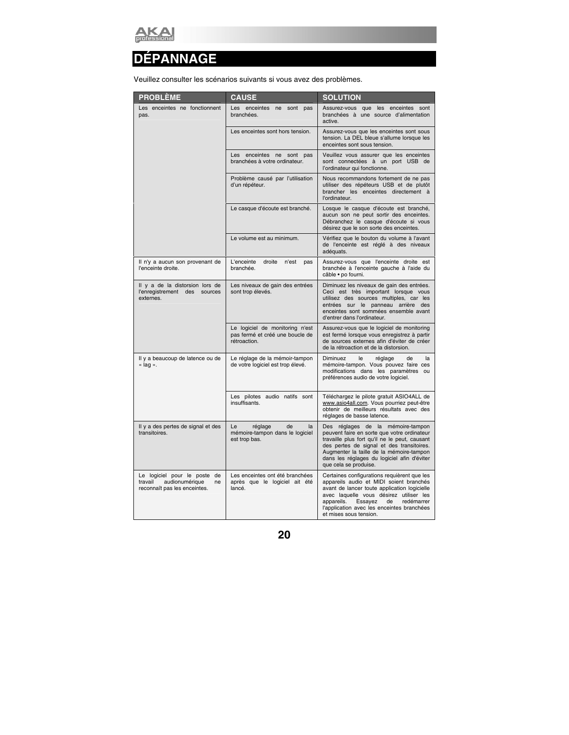

## **DÉPANNAGE**

Veuillez consulter les scénarios suivants si vous avez des problèmes.

| <b>PROBLÈME</b>                                                                                 | <b>CAUSE</b>                                                                       | <b>SOLUTION</b>                                                                                                                                                                                                                                                                                        |
|-------------------------------------------------------------------------------------------------|------------------------------------------------------------------------------------|--------------------------------------------------------------------------------------------------------------------------------------------------------------------------------------------------------------------------------------------------------------------------------------------------------|
| Les enceintes ne fonctionnent<br>pas.                                                           | Les enceintes<br>ne<br>sont pas<br>branchées.                                      | Assurez-vous que les enceintes sont<br>branchées à une source d'alimentation<br>active.                                                                                                                                                                                                                |
|                                                                                                 | Les enceintes sont hors tension.                                                   | Assurez-vous que les enceintes sont sous<br>tension. La DEL bleue s'allume lorsque les<br>enceintes sont sous tension.                                                                                                                                                                                 |
|                                                                                                 | Les enceintes ne sont pas<br>branchées à votre ordinateur.                         | Veuillez vous assurer que les enceintes<br>sont connectées à un port USB de<br>l'ordinateur qui fonctionne.                                                                                                                                                                                            |
|                                                                                                 | Problème causé par l'utilisation<br>d'un répéteur.                                 | Nous recommandons fortement de ne pas<br>utiliser des répéteurs USB et de plutôt<br>brancher les enceintes directement à<br>l'ordinateur.                                                                                                                                                              |
|                                                                                                 | Le casque d'écoute est branché.                                                    | Losque le casque d'écoute est branché,<br>aucun son ne peut sortir des enceintes.<br>Débranchez le casque d'écoute si vous<br>désirez que le son sorte des enceintes.                                                                                                                                  |
|                                                                                                 | Le volume est au minimum.                                                          | Vérifiez que le bouton du volume à l'avant<br>de l'enceinte est réglé à des niveaux<br>adéquats.                                                                                                                                                                                                       |
| Il n'y a aucun son provenant de<br>l'enceinte droite.                                           | L'enceinte<br>droite<br>n'est<br>pas<br>branchée.                                  | Assurez-vous que l'enceinte droite est<br>branchée à l'enceinte gauche à l'aide du<br>câble · po fourni.                                                                                                                                                                                               |
| Il y a de la distorsion lors de<br>l'enregistrement des sources<br>externes.                    | Les niveaux de gain des entrées<br>sont trop élevés.                               | Diminuez les niveaux de gain des entrées.<br>Ceci est très important lorsque vous<br>utilisez des sources multiples, car les<br>entrées sur le panneau arrière des<br>enceintes sont sommées ensemble avant<br>d'entrer dans l'ordinateur.                                                             |
|                                                                                                 | Le logiciel de monitoring n'est<br>pas fermé et créé une boucle de<br>rétroaction. | Assurez-vous que le logiciel de monitoring<br>est fermé lorsque vous enregistrez à partir<br>de sources externes afin d'éviter de créer<br>de la rétroaction et de la distorsion.                                                                                                                      |
| Il y a beaucoup de latence ou de<br>« lag ».                                                    | Le réglage de la mémoir-tampon<br>de votre logiciel est trop élevé.                | Diminuez<br>le<br>réglage<br>de<br>la<br>mémoire-tampon. Vous pouvez faire ces<br>modifications dans les paramètres ou<br>préférences audio de votre logiciel.                                                                                                                                         |
|                                                                                                 | Les pilotes audio natifs sont<br>insuffisants.                                     | Téléchargez le pilote gratuit ASIO4ALL de<br>www.asio4all.com. Vous pourriez peut-être<br>obtenir de meilleurs résultats avec des<br>réglages de basse latence.                                                                                                                                        |
| Il y a des pertes de signal et des<br>transitoires.                                             | Le<br>réglage<br>de<br>la<br>mémoire-tampon dans le logiciel<br>est trop bas.      | Des réglages de la mémoire-tampon<br>peuvent faire en sorte que votre ordinateur<br>travaille plus fort qu'il ne le peut, causant<br>des pertes de signal et des transitoires.<br>Augmenter la taille de la mémoire-tampon<br>dans les réglages du logiciel afin d'éviter<br>que cela se produise.     |
| Le logiciel pour le poste de<br>travail<br>audionumérique<br>ne<br>reconnaît pas les enceintes. | Les enceintes ont été branchées<br>après que le logiciel ait été<br>lancé.         | Certaines configurations requièrent que les<br>appareils audio et MIDI soient branchés<br>avant de lancer toute application logicielle<br>avec laquelle vous désirez utiliser les<br>appareils.<br>redémarrer<br>Essayez<br>de<br>l'application avec les enceintes branchées<br>et mises sous tension. |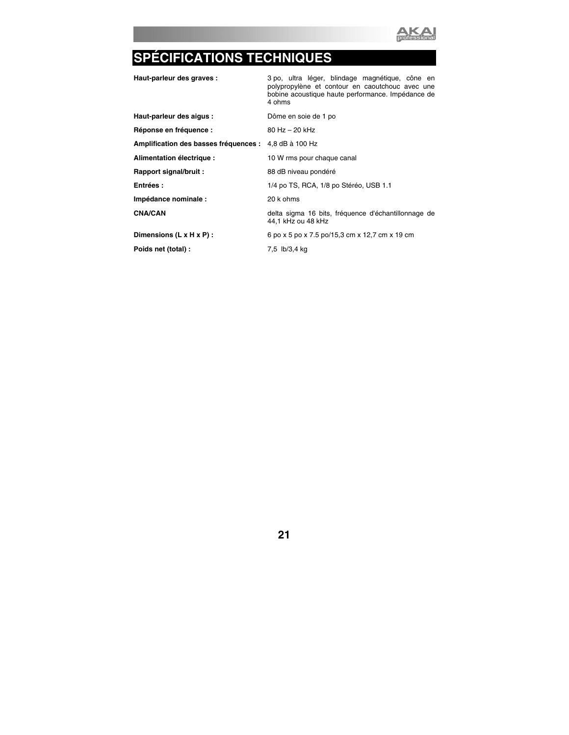

# **SPÉCIFICATIONS TECHNIQUES**

| Haut-parleur des graves :                             | 3 po, ultra léger, blindage magnétique, cône en<br>polypropylène et contour en caoutchouc avec une<br>bobine acoustique haute performance. Impédance de<br>4 ohms |  |  |  |  |  |  |  |
|-------------------------------------------------------|-------------------------------------------------------------------------------------------------------------------------------------------------------------------|--|--|--|--|--|--|--|
| Haut-parleur des aigus :                              | Dôme en soie de 1 po                                                                                                                                              |  |  |  |  |  |  |  |
| Réponse en fréquence :                                | $80$ Hz $-$ 20 kHz                                                                                                                                                |  |  |  |  |  |  |  |
| Amplification des basses fréquences : 4,8 dB à 100 Hz |                                                                                                                                                                   |  |  |  |  |  |  |  |
| Alimentation électrique :                             | 10 W rms pour chaque canal                                                                                                                                        |  |  |  |  |  |  |  |
| Rapport signal/bruit :                                | 88 dB niveau pondéré                                                                                                                                              |  |  |  |  |  |  |  |
| Entrées :                                             | 1/4 po TS, RCA, 1/8 po Stéréo, USB 1.1                                                                                                                            |  |  |  |  |  |  |  |
| Impédance nominale :                                  | 20 k ohms                                                                                                                                                         |  |  |  |  |  |  |  |
| <b>CNA/CAN</b>                                        | delta sigma 16 bits, fréquence d'échantillonnage de<br>44,1 kHz ou 48 kHz                                                                                         |  |  |  |  |  |  |  |
| Dimensions (L x H x P) :                              | 6 po x 5 po x 7.5 po/15,3 cm x 12,7 cm x 19 cm                                                                                                                    |  |  |  |  |  |  |  |
| Poids net (total) :                                   | 7,5 lb/3,4 kg                                                                                                                                                     |  |  |  |  |  |  |  |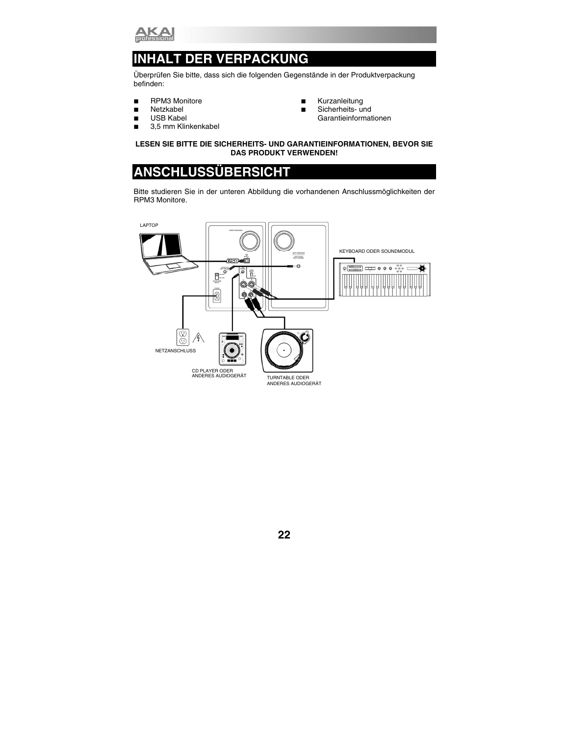

## **ALT DER VERPACKUNG**

Überprüfen Sie bitte, dass sich die folgenden Gegenstände in der Produktverpackung befinden:

- **RPM3 Monitore**
- **Netzkabel**
- USB Kabel
- 3.5 mm Klinkenkabel
- **Kurzanleitung**
- Sicherheits- und Garantieinformationen

#### **LESEN SIE BITTE DIE SICHERHEITS- UND GARANTIEINFORMATIONEN, BEVOR SIE DAS PRODUKT VERWENDEN!**

## **ANSCHLUSSÜBERSICHT**

Bitte studieren Sie in der unteren Abbildung die vorhandenen Anschlussmöglichkeiten der RPM3 Monitore.

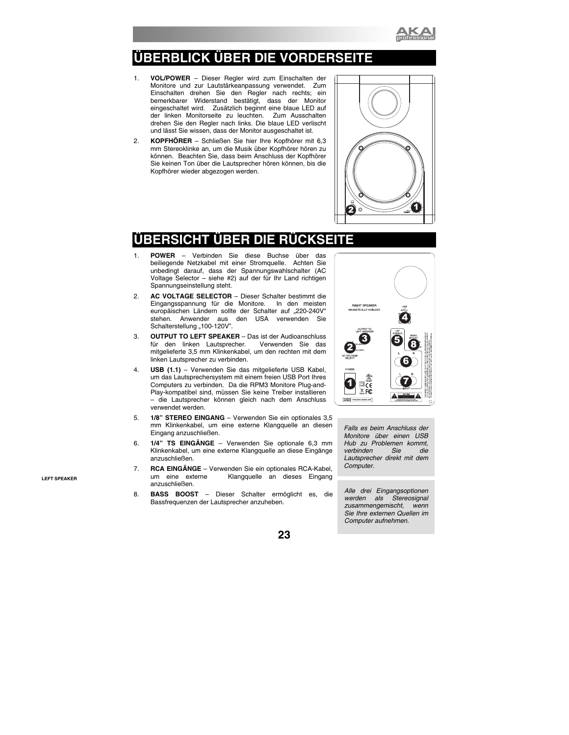

## **ÜBERBLICK ÜBER DIE VORDERSEITE**

- 1. **VOL/POWER** Dieser Regler wird zum Einschalten der Monitore und zur Lautstärkeanpassung verwendet. Zum Einschalten drehen Sie den Regler nach rechts; ein bemerkbarer Widerstand bestätigt, dass der Monitor eingeschaltet wird. Zusätzlich beginnt eine blaue LED auf der linken Monitorseite zu leuchten. Zum Ausschalten drehen Sie den Regler nach links. Die blaue LED verlischt und lässt Sie wissen, dass der Monitor ausgeschaltet ist.
- 2. **KOPFHÖRER** Schließen Sie hier Ihre Kopfhörer mit 6,3 mm Stereoklinke an, um die Musik über Kopfhörer hören zu können. Beachten Sie, dass beim Anschluss der Kopfhörer Sie keinen Ton über die Lautsprecher hören können, bis die Kopfhörer wieder abgezogen werden.



## RSICHT UBER DI<del>E</del>

- 1. **POWER** Verbinden Sie diese Buchse über das beiliegende Netzkabel mit einer Stromquelle. Achten Sie unbedingt darauf, dass der Spannungswahlschalter (AC Voltage Selector – siehe #2) auf der für Ihr Land richtigen Spannungseinstellung steht.
- 2. **AC VOLTAGE SELECTOR** Dieser Schalter bestimmt die Eingangsspannung für die Monitore. In den meisten europäischen Ländern sollte der Schalter auf "220-240V" stehen. Anwender aus den USA verwenden Sie Schalterstellung "100-120V".
- 3. **OUTPUT TO LEFT SPEAKER**  Das ist der Audioanschluss für den linken Lautsprecher. mitgelieferte 3,5 mm Klinkenkabel, um den rechten mit dem linken Lautsprecher zu verbinden.
- 4. **USB (1.1)**  Verwenden Sie das mitgelieferte USB Kabel, um das Lautsprechersystem mit einem freien USB Port Ihres Computers zu verbinden. Da die RPM3 Monitore Plug-and-Play-kompatibel sind, müssen Sie keine Treiber installieren – die Lautsprecher können gleich nach dem Anschluss verwendet werden.
- 5. **1/8" STEREO EINGANG**  Verwenden Sie ein optionales 3,5 mm Klinkenkabel, um eine externe Klangquelle an diesen Eingang anzuschließen.
- 6. **1/4" TS EINGÄNGE**  Verwenden Sie optionale 6,3 mm Klinkenkabel, um eine externe Klangquelle an diese Eingänge anzuschließen.
- 7. **RCA EINGÄNGE** Verwenden Sie ein optionales RCA-Kabel, um eine externe Klangquelle an dieses Eingang anzuschließen.
- 8. **BASS BOOST**  Dieser Schalter ermöglicht es, die Bassfrequenzen der Lautsprecher anzuheben.



*Falls es beim Anschluss der Monitore über einen USB Hub zu Problemen kommt,*   $verbinden$ *Lautsprecher direkt mit dem Computer.* 

*Alle drei Eingangsoptionen werden als Stereosignal zusammengemischt, wenn Sie Ihre externen Quellen im Computer aufnehmen.*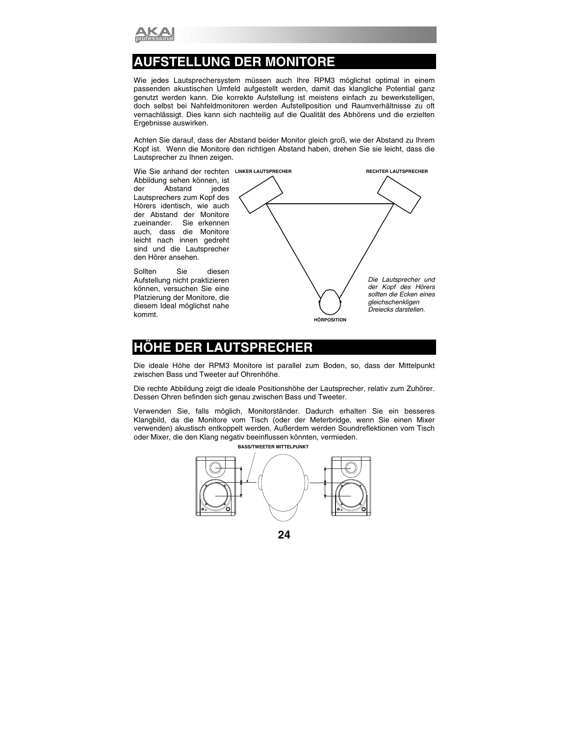

## **ATELLUNG DER MONITORE**

Wie jedes Lautsprechersystem müssen auch Ihre RPM3 möglichst optimal in einem passenden akustischen Umfeld aufgestellt werden, damit das klangliche Potential ganz genutzt werden kann. Die korrekte Aufstellung ist meistens einfach zu bewerkstelligen, doch selbst bei Nahfeldmonitoren werden Aufstellposition und Raumverhältnisse zu oft vernachlässigt. Dies kann sich nachteilig auf die Qualität des Abhörens und die erzielten Ergebnisse auswirken.

Achten Sie darauf, dass der Abstand beider Monitor gleich groß, wie der Abstand zu Ihrem Kopf ist. Wenn die Monitore den richtigen Abstand haben, drehen Sie sie leicht, dass die Lautsprecher zu Ihnen zeigen.

Abbildung sehen können, ist der Abstand jedes Lautsprechers zum Kopf des Hörers identisch, wie auch der Abstand der Monitore zueinander. Sie erkennen auch, dass die Monitore leicht nach innen gedreht sind und die Lautsprecher den Hörer ansehen.

Sollten Sie diesen Aufstellung nicht praktizieren können, versuchen Sie eine Platzierung der Monitore, die diesem Ideal möglichst nahe kommt.



## **HÖHE DER LAUTSPRECHER**

Die ideale Höhe der RPM3 Monitore ist parallel zum Boden, so, dass der Mittelpunkt zwischen Bass und Tweeter auf Ohrenhöhe.

Die rechte Abbildung zeigt die ideale Positionshöhe der Lautsprecher, relativ zum Zuhörer. Dessen Ohren befinden sich genau zwischen Bass und Tweeter.

Verwenden Sie, falls möglich, Monitorständer. Dadurch erhalten Sie ein besseres Klangbild, da die Monitore vom Tisch (oder der Meterbridge, wenn Sie einen Mixer verwenden) akustisch entkoppelt werden. Außerdem werden Soundreflektionen vom Tisch oder Mixer, die den Klang negativ beeinflussen könnten, vermieden.



**24**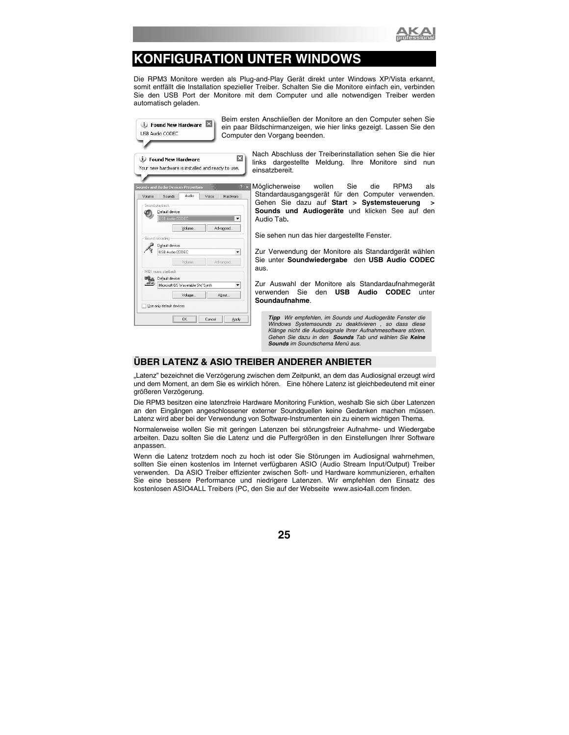

## **KONFIGURATION UNTER WINDOWS**

Die RPM3 Monitore werden als Plug-and-Play Gerät direkt unter Windows XP/Vista erkannt, somit entfällt die Installation spezieller Treiber. Schalten Sie die Monitore einfach ein, verbinden Sie den USB Port der Monitore mit dem Computer und alle notwendigen Treiber werden automatisch geladen.

| USB Audio CODEC                        | D Found New Hardware                                                            | Beim erste<br>ein paar B<br>Computer |
|----------------------------------------|---------------------------------------------------------------------------------|--------------------------------------|
|                                        | <b>U</b> Found New Hardware<br>Your new hardware is installed and ready to use, | ×                                    |
| Sounds<br>Volume                       | Sounds and Audio Devices Properties<br>Audio                                    | Voice<br>Hardware                    |
| Sound playback-<br>Default device:     | USB Audio CODEC                                                                 |                                      |
| Sound recording<br>Default device:     | Volume                                                                          | Advanced                             |
|                                        | USB Audio CODEC<br>Volume                                                       | Advanced                             |
| MIDI music playback<br>Default device: | Microsoft GS Wavetable SW Synth                                                 |                                      |
| Use only default devices               | Volume                                                                          | About                                |
|                                        | OK                                                                              | Cancel<br>Apply                      |

en Anschließen der Monitore an den Computer sehen Sie ildschirmanzeigen, wie hier links gezeigt. Lassen Sie den den Vorgang beenden.

> Nach Abschluss der Treiberinstallation sehen Sie die hier links dargestellte Meldung. Ihre Monitore sind nun einsatzbereit.

Möglicherweise wollen Sie die RPM3 als Standardausgangsgerät für den Computer verwenden. Gehen Sie dazu auf **Start > Systemsteuerung > Sounds und Audiogeräte** und klicken See auf den Audio Tab**.** 

Sie sehen nun das hier dargestellte Fenster.

Zur Verwendung der Monitore als Standardgerät wählen Sie unter **Soundwiedergabe** den **USB Audio CODEC** aus.

Zur Auswahl der Monitore als Standardaufnahmegerät verwenden Sie den **USB Audio CODEC** unter **Soundaufnahme**.

*Tipp Wir empfehlen, im Sounds und Audiogeräte Fenster die Windows Systemsounds zu deaktivieren , so dass diese Klänge nicht die Audiosignale Ihrer Aufnahmesoftware stören. Gehen Sie dazu in den Sounds Tab und wählen Sie Keine Sounds im Soundschema Menü aus.* 

### **ÜBER LATENZ & ASIO TREIBER ANDERER ANBIETER**

"Latenz" bezeichnet die Verzögerung zwischen dem Zeitpunkt, an dem das Audiosignal erzeugt wird und dem Moment, an dem Sie es wirklich hören. Eine höhere Latenz ist gleichbedeutend mit einer größeren Verzögerung.

Die RPM3 besitzen eine latenzfreie Hardware Monitoring Funktion, weshalb Sie sich über Latenzen an den Eingängen angeschlossener externer Soundquellen keine Gedanken machen müssen. Latenz wird aber bei der Verwendung von Software-Instrumenten ein zu einem wichtigen Thema.

Normalerweise wollen Sie mit geringen Latenzen bei störungsfreier Aufnahme- und Wiedergabe arbeiten. Dazu sollten Sie die Latenz und die Puffergrößen in den Einstellungen Ihrer Software anpassen.

Wenn die Latenz trotzdem noch zu hoch ist oder Sie Störungen im Audiosignal wahrnehmen, sollten Sie einen kostenlos im Internet verfügbaren ASIO (Audio Stream Input/Output) Treiber verwenden. Da ASIO Treiber effizienter zwischen Soft- und Hardware kommunizieren, erhalten Sie eine bessere Performance und niedrigere Latenzen. Wir empfehlen den Einsatz des kostenlosen ASIO4ALL Treibers (PC, den Sie auf der Webseite www.asio4all.com finden.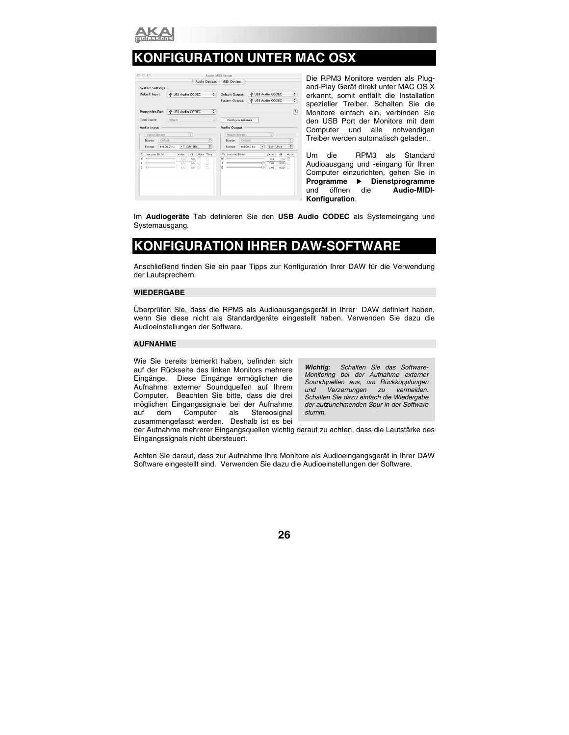

## **KONFIGURATION UNTER MAC OSX**

|                        |            |                   |           |   | <b>Audio Devices</b> |                         | <b>MIDI Devices</b> |         |            |   |                   |      |                      |
|------------------------|------------|-------------------|-----------|---|----------------------|-------------------------|---------------------|---------|------------|---|-------------------|------|----------------------|
| <b>System Settings</b> |            |                   |           |   |                      |                         |                     |         |            |   |                   |      |                      |
| Default Input:         |            | V USB Audio CODEC |           |   | रा                   |                         | Default Output:     |         |            |   | V USB Audio CODEC |      | ٥                    |
|                        |            |                   |           |   |                      |                         | System Output:      |         |            |   | + USB Audio CODEC |      | ÷                    |
| Properties For:        |            | V USB Audio CODEC |           |   | :1                   |                         |                     |         |            |   |                   |      | (7)                  |
| Clock Source:          | Default    |                   |           |   | $\ddot{\phantom{a}}$ |                         | Configure Speakers  |         |            |   |                   |      |                      |
| <b>Audio Input</b>     |            |                   |           |   |                      |                         | <b>Audio Output</b> |         |            |   |                   |      |                      |
| Master Stream          |            |                   | ٥         |   |                      |                         | Master Stream       |         |            |   | ÷                 |      |                      |
| Source:                | Default    |                   |           |   | $\div$               |                         | Source:             | Default |            |   |                   |      | $\ddot{\phantom{a}}$ |
| Format:                | 44100.0 Hz | ٠                 | 2ch-16bit |   | ÷                    |                         | Format:             |         | 44100.0 Hz | ٠ | $2ch-16bit$       |      | ÷                    |
| Volume Slider<br>Ch    |            | Value             | dB        |   | Mute Thru            | Ch.                     | Volume Slider       |         |            |   | Value             | dB   | Mute                 |
| м<br>÷                 |            | n/a               | nía       | m | n                    | M                       |                     |         |            |   | n/a               | n/a  | m                    |
| ↔<br>٦                 |            | m/a               | n/a       | e | ⊟                    | ٦                       |                     |         |            |   | 1.00              | 0.00 | e                    |
| ⇔<br>2                 |            | n/a               | n/a       | m | $\Box$               | $\overline{\mathbf{z}}$ |                     |         |            |   | 1.00              | 0.00 | m                    |

Die RPM3 Monitore werden als Plugand-Play Gerät direkt unter MAC OS X erkannt, somit entfällt die Installation spezieller Treiber. Schalten Sie die Monitore einfach ein, verbinden Sie den USB Port der Monitore mit dem Computer und alle notwendigen Treiber werden automatisch geladen..

Um die RPM3 als Standard Audioausgang und -eingang für Ihren Computer einzurichten, gehen Sie in **Programme** X **Dienstprogramme**  und öffnen die **Audio-MIDI-Konfiguration**.

Im **Audiogeräte** Tab definieren Sie den **USB Audio CODEC** als Systemeingang und Systemausgang.

## **KONFIGURATION IHRER DAW-SOFTWARE**

Anschließend finden Sie ein paar Tipps zur Konfiguration Ihrer DAW für die Verwendung der Lautsprechern.

#### **WIEDERGABE**

Überprüfen Sie, dass die RPM3 als Audioausgangsgerät in Ihrer DAW definiert haben, wenn Sie diese nicht als Standardgeräte eingestellt haben. Verwenden Sie dazu die Audioeinstellungen der Software.

#### **AUFNAHME**

Wie Sie bereits bemerkt haben, befinden sich auf der Rückseite des linken Monitors mehrere Eingänge. Diese Eingänge ermöglichen die Aufnahme externer Soundquellen auf Ihrem Computer. Beachten Sie bitte, dass die drei möglichen Eingangssignale bei der Aufnahme auf dem Computer als Stereosignal zusammengefasst werden. Deshalb ist es bei

*Wichtig: Schalten Sie das Software-Monitoring bei der Aufnahme externer Soundquellen aus, um Rückkopplungen und Verzerrungen zu vermeiden. Schalten Sie dazu einfach die Wiedergabe der aufzunehmenden Spur in der Software stumm.* 

der Aufnahme mehrerer Eingangsquellen wichtig darauf zu achten, dass die Lautstärke des Eingangssignals nicht übersteuert.

Achten Sie darauf, dass zur Aufnahme Ihre Monitore als Audioeingangsgerät in Ihrer DAW Software eingestellt sind. Verwenden Sie dazu die Audioeinstellungen der Software.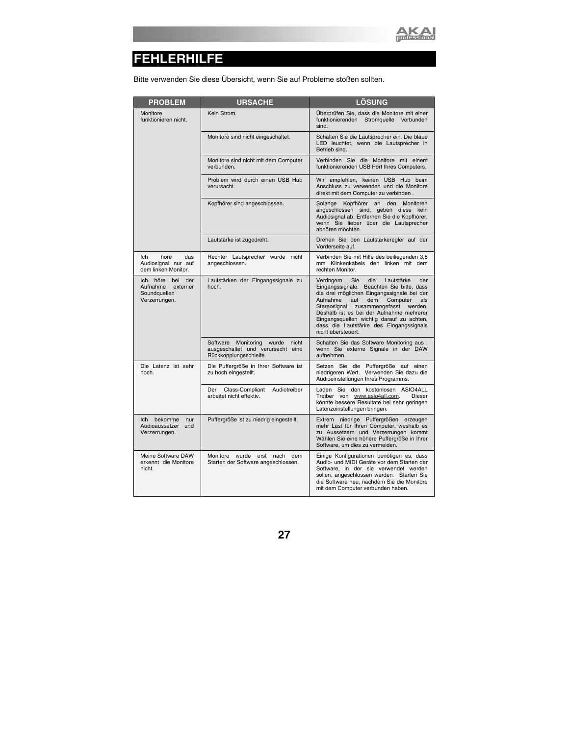

## **FEHLERHILFE**

Bitte verwenden Sie diese Übersicht, wenn Sie auf Probleme stoßen sollten.

| <b>PROBLEM</b>                                                                    | <b>URSACHE</b>                                                                                          | <b>LÖSUNG</b>                                                                                                                                                                                                                                                                                                                                                                                 |
|-----------------------------------------------------------------------------------|---------------------------------------------------------------------------------------------------------|-----------------------------------------------------------------------------------------------------------------------------------------------------------------------------------------------------------------------------------------------------------------------------------------------------------------------------------------------------------------------------------------------|
| Monitore<br>funktionieren nicht.                                                  | Kein Strom.                                                                                             | Überprüfen Sie, dass die Monitore mit einer<br>funktionierenden Stromquelle<br>verbunden<br>sind.                                                                                                                                                                                                                                                                                             |
|                                                                                   | Monitore sind nicht eingeschaltet.                                                                      | Schalten Sie die Lautsprecher ein. Die blaue<br>LED leuchtet, wenn die Lautsprecher in<br>Betrieb sind.                                                                                                                                                                                                                                                                                       |
|                                                                                   | Monitore sind nicht mit dem Computer<br>verbunden.                                                      | Verbinden Sie die Monitore mit einem<br>funktionierenden USB Port Ihres Computers.                                                                                                                                                                                                                                                                                                            |
|                                                                                   | Problem wird durch einen USB Hub<br>verursacht.                                                         | Wir empfehlen, keinen USB Hub beim<br>Anschluss zu verwenden und die Monitore<br>direkt mit dem Computer zu verbinden.                                                                                                                                                                                                                                                                        |
|                                                                                   | Kopfhörer sind angeschlossen.                                                                           | Kopfhörer an<br>Solange<br>den<br>Monitoren<br>angeschlossen sind, geben diese kein<br>Audiosignal ab. Entfernen Sie die Kopfhörer,<br>wenn Sie lieber über die Lautsprecher<br>abhören möchten.                                                                                                                                                                                              |
|                                                                                   | Lautstärke ist zugedreht.                                                                               | Drehen Sie den Lautstärkeregler auf der<br>Vorderseite auf.                                                                                                                                                                                                                                                                                                                                   |
| Ich<br>höre<br>das<br>Audiosignal nur auf<br>dem linken Monitor.                  | Rechter Lautsprecher wurde nicht<br>angeschlossen.                                                      | Verbinden Sie mit Hilfe des beiliegenden 3,5<br>mm Klinkenkabels den linken mit dem<br>rechten Monitor.                                                                                                                                                                                                                                                                                       |
| höre<br>bei<br>der<br>Ich -<br>Aufnahme externer<br>Soundquellen<br>Verzerrungen. | Lautstärken der Eingangssignale zu<br>hoch.                                                             | Verringern<br>Sie<br>die<br>Lautstärke<br>der<br>Eingangssignale. Beachten Sie bitte, dass<br>die drei möglichen Eingangssignale bei der<br>Aufnahme<br>dem<br>Computer<br>auf<br>als<br>Stereosignal<br>zusammengefasst<br>werden.<br>Deshalb ist es bei der Aufnahme mehrerer<br>Eingangsquellen wichtig darauf zu achten,<br>dass die Lautstärke des Eingangssignals<br>nicht übersteuert. |
|                                                                                   | wurde<br>Software<br>Monitoring<br>nicht<br>ausgeschaltet und verursacht eine<br>Rückkopplungsschleife. | Schalten Sie das Software Monitoring aus,<br>wenn Sie externe Signale in der DAW<br>aufnehmen.                                                                                                                                                                                                                                                                                                |
| Die Latenz ist sehr<br>hoch.                                                      | Die Puffergröße in Ihrer Software ist<br>zu hoch eingestellt.                                           | Setzen Sie die Puffergröße auf einen<br>niedrigeren Wert. Verwenden Sie dazu die<br>Audioeinstellungen Ihres Programms.                                                                                                                                                                                                                                                                       |
|                                                                                   | Audiotreiber<br>Der<br>Class-Compliant<br>arbeitet nicht effektiv.                                      | Laden Sie den kostenlosen ASIO4ALL<br>Treiber von www.asio4all.com.<br>Dieser<br>könnte bessere Resultate bei sehr geringen<br>Latenzeinstellungen bringen.                                                                                                                                                                                                                                   |
| bekomme<br>Ich<br>nur<br>Audioaussetzer<br>und<br>Verzerrungen.                   | Puffergröße ist zu niedrig eingestellt.                                                                 | Extrem niedrige Puffergrößen erzeugen<br>mehr Last für Ihren Computer, weshalb es<br>zu Aussetzern und Verzerrungen kommt<br>Wählen Sie eine höhere Puffergröße in Ihrer<br>Software, um dies zu vermeiden.                                                                                                                                                                                   |
| Meine Software DAW<br>erkennt die Monitore<br>nicht.                              | Monitore wurde erst nach<br>dem<br>Starten der Software angeschlossen.                                  | Einige Konfigurationen benötigen es, dass<br>Audio- und MIDI Geräte vor dem Starten der<br>Software, in der sie verwendet werden<br>sollen, angeschlossen werden. Starten Sie<br>die Software neu, nachdem Sie die Monitore<br>mit dem Computer verbunden haben.                                                                                                                              |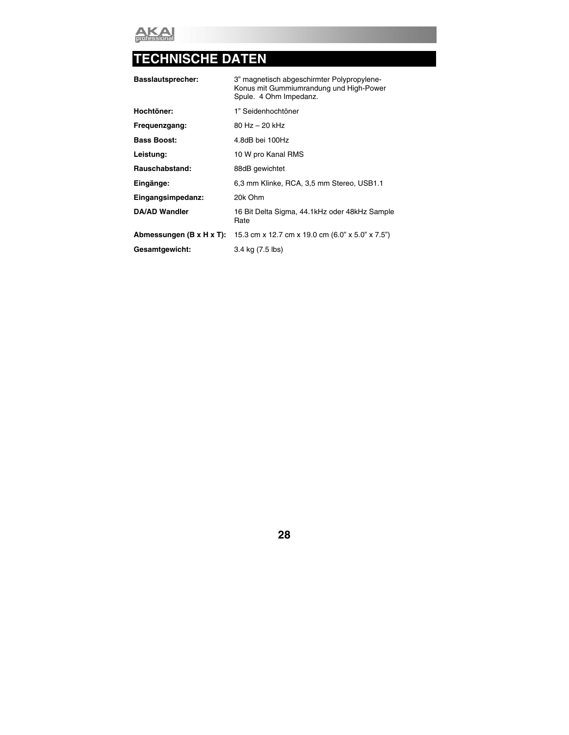

## **TECHNISCHE DATEN**

| <b>Basslautsprecher:</b> | 3" magnetisch abgeschirmter Polypropylene-<br>Konus mit Gummiumrandung und High-Power<br>Spule. 4 Ohm Impedanz. |
|--------------------------|-----------------------------------------------------------------------------------------------------------------|
| Hochtöner:               | 1" Seidenhochtöner                                                                                              |
| Frequenzgang:            | $80$ Hz $-$ 20 kHz                                                                                              |
| <b>Bass Boost:</b>       | 4.8dB bei 100Hz                                                                                                 |
| Leistung:                | 10 W pro Kanal RMS                                                                                              |
| Rauschabstand:           | 88dB gewichtet                                                                                                  |
| Eingänge:                | 6,3 mm Klinke, RCA, 3,5 mm Stereo, USB1.1                                                                       |
| Eingangsimpedanz:        | 20k Ohm                                                                                                         |
| <b>DA/AD Wandler</b>     | 16 Bit Delta Sigma, 44.1kHz oder 48kHz Sample<br>Rate                                                           |
| Abmessungen (B x H x T): | 15.3 cm x 12.7 cm x 19.0 cm (6.0" x 5.0" x 7.5")                                                                |
| Gesamtgewicht:           | 3.4 kg (7.5 lbs)                                                                                                |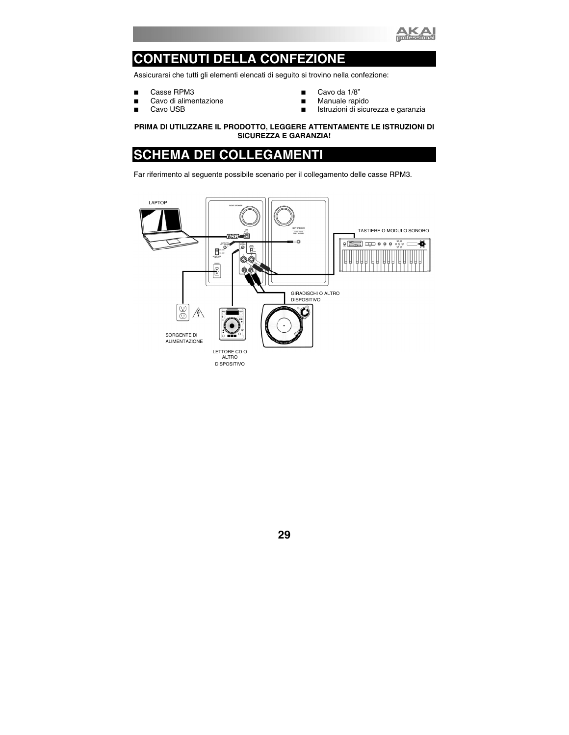

## **CONTENUTI DELLA CONFEZIONE**

Assicurarsi che tutti gli elementi elencati di seguito si trovino nella confezione:

- Casse RPM3
- Cavo di alimentazione
- Cavo USB
- Cavo da 1/8"
- **Manuale rapido**
- Istruzioni di sicurezza e garanzia

#### **PRIMA DI UTILIZZARE IL PRODOTTO, LEGGERE ATTENTAMENTE LE ISTRUZIONI DI SICUREZZA E GARANZIA!**

## **SCHEMA DEI COLLEGAMENTI**

Far riferimento al seguente possibile scenario per il collegamento delle casse RPM3.

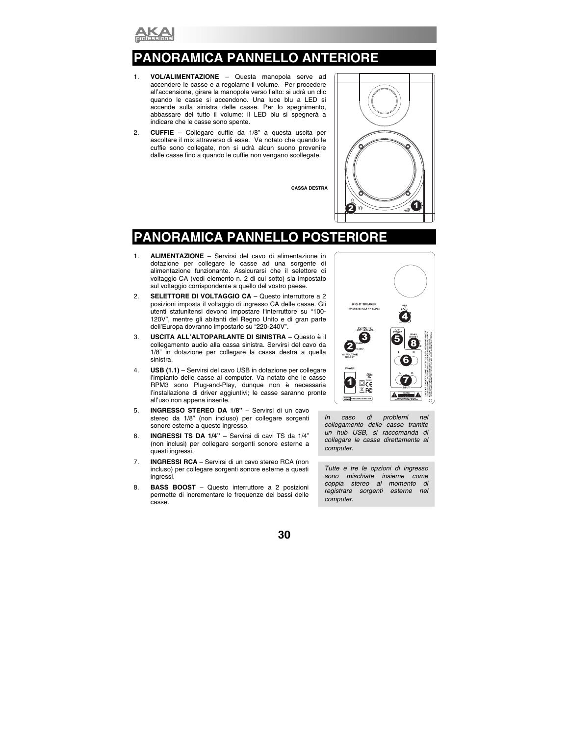

## **PANORA PANNELLO ANTERIORE**

- 1. **VOL/ALIMENTAZIONE** Questa manopola serve ad accendere le casse e a regolarne il volume. Per procedere all'accensione, girare la manopola verso l'alto: si udrà un clic quando le casse si accendono. Una luce blu a LED si accende sulla sinistra delle casse. Per lo spegnimento, abbassare del tutto il volume: il LED blu si spegnerà a indicare che le casse sono spente.
- 2. **CUFFIE** Collegare cuffie da 1/8" a questa uscita per ascoltare il mix attraverso di esse. Va notato che quando le cuffie sono collegate, non si udrà alcun suono provenire dalle casse fino a quando le cuffie non vengano scollegate.

**CASSA DESTRA** 



## **PANORAMICA PANNEL**

- 1. **ALIMENTAZIONE**  Servirsi del cavo di alimentazione in dotazione per collegare le casse ad una sorgente di alimentazione funzionante. Assicurarsi che il selettore di voltaggio CA (vedi elemento n. 2 di cui sotto) sia impostato sul voltaggio corrispondente a quello del vostro paese.
- 2. **SELETTORE DI VOLTAGGIO CA** Questo interruttore a 2 posizioni imposta il voltaggio di ingresso CA delle casse. Gli utenti statunitensi devono impostare l'interruttore su "100- 120V", mentre gli abitanti del Regno Unito e di gran parte dell'Europa dovranno impostarlo su "220-240V".
- 3. **USCITA ALL'ALTOPARLANTE DI SINISTRA**  Questo è il collegamento audio alla cassa sinistra. Servirsi del cavo da 1/8" in dotazione per collegare la cassa destra a quella sinistra.
- 4. **USB (1.1)**  Servirsi del cavo USB in dotazione per collegare l'impianto delle casse al computer. Va notato che le casse RPM3 sono Plug-and-Play, dunque non è necessaria l'installazione di driver aggiuntivi; le casse saranno pronte all'uso non appena inserite.
- 5. **INGRESSO STEREO DA 1/8"**  Servirsi di un cavo stereo da 1/8" (non incluso) per collegare sorgenti sonore esterne a questo ingresso.
- 6. **INGRESSI TS DA 1/4"**  Servirsi di cavi TS da 1/4" (non inclusi) per collegare sorgenti sonore esterne a questi ingressi.
- 7. **INGRESSI RCA**  Servirsi di un cavo stereo RCA (non incluso) per collegare sorgenti sonore esterne a questi ingressi.
- 8. **BASS BOOST**  Questo interruttore a 2 posizioni permette di incrementare le frequenze dei bassi delle casse.



*In caso di problemi nel collegamento delle casse tramite un hub USB, si raccomanda di collegare le casse direttamente al computer.* 

*Tutte e tre le opzioni di ingresso sono mischiate insieme come coppia stereo al momento di registrare sorgenti esterne nel computer.*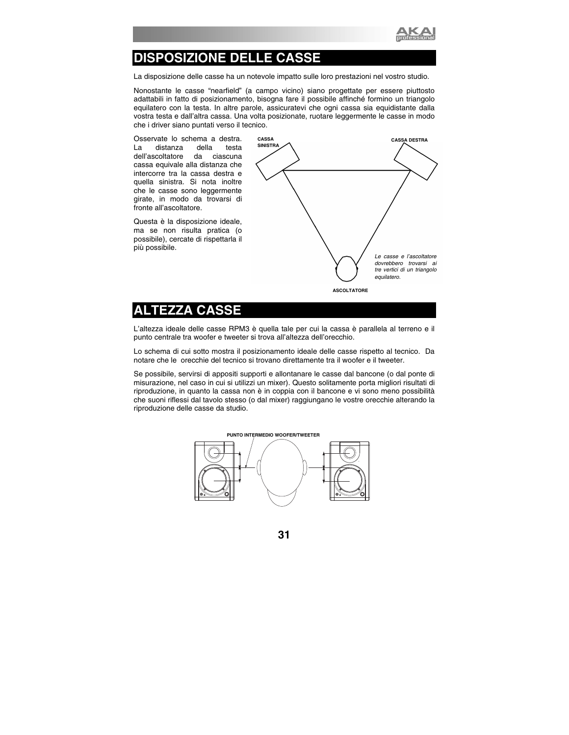

## **DISPOSIZIONE DELLE CASSE**

La disposizione delle casse ha un notevole impatto sulle loro prestazioni nel vostro studio.

Nonostante le casse "nearfield" (a campo vicino) siano progettate per essere piuttosto adattabili in fatto di posizionamento, bisogna fare il possibile affinché formino un triangolo equilatero con la testa. In altre parole, assicuratevi che ogni cassa sia equidistante dalla vostra testa e dall'altra cassa. Una volta posizionate, ruotare leggermente le casse in modo che i driver siano puntati verso il tecnico.

Osservate lo schema a destra. La distanza della testa<br>dell'ascoltatore da ciascuna dell'ascoltatore da ciascuna cassa equivale alla distanza che intercorre tra la cassa destra e quella sinistra. Si nota inoltre che le casse sono leggermente girate, in modo da trovarsi di fronte all'ascoltatore.

Questa è la disposizione ideale, ma se non risulta pratica (o possibile), cercate di rispettarla il più possibile.



### **ALTEZZA CASSE**

L'altezza ideale delle casse RPM3 è quella tale per cui la cassa è parallela al terreno e il punto centrale tra woofer e tweeter si trova all'altezza dell'orecchio.

Lo schema di cui sotto mostra il posizionamento ideale delle casse rispetto al tecnico. Da notare che le orecchie del tecnico si trovano direttamente tra il woofer e il tweeter.

Se possibile, servirsi di appositi supporti e allontanare le casse dal bancone (o dal ponte di misurazione, nel caso in cui si utilizzi un mixer). Questo solitamente porta migliori risultati di riproduzione, in quanto la cassa non è in coppia con il bancone e vi sono meno possibilità che suoni riflessi dal tavolo stesso (o dal mixer) raggiungano le vostre orecchie alterando la riproduzione delle casse da studio.

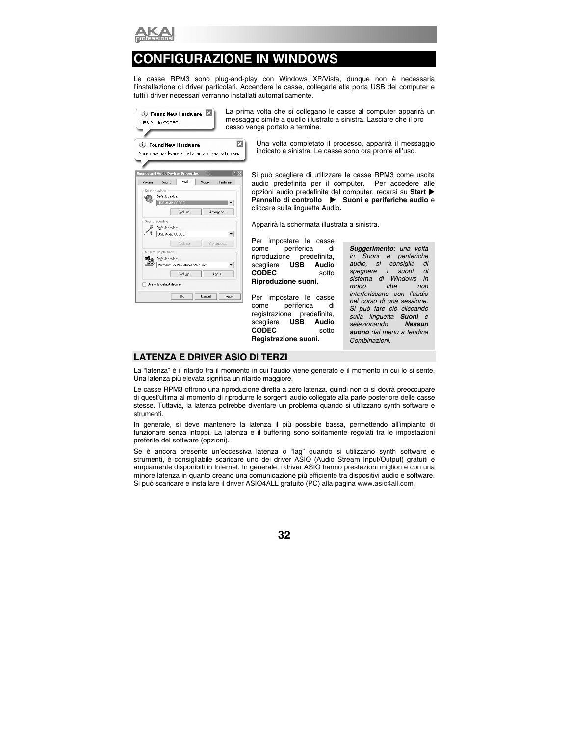

## **CONFIGURAZIONE IN WINDOWS**

Le casse RPM3 sono plug-and-play con Windows XP/Vista, dunque non è necessaria l'installazione di driver particolari. Accendere le casse, collegarle alla porta USB del computer e tutti i driver necessari verranno installati automaticamente.

| D Found New Hardware<br>USB Audio CODEC          | La prir<br>messa |
|--------------------------------------------------|------------------|
|                                                  | cesso            |
| D Found New Hardware                             | ×                |
| Your new hardware is installed and ready to use. |                  |
|                                                  |                  |
| <b>Sounds and Audio Devices Properties</b>       |                  |
| Audio<br>Sounds<br>Volume<br>Voice               | Hardware         |
| Sound playback-                                  |                  |
| Default device:                                  |                  |
| USB Audio CODEC                                  |                  |
| Volume<br>Advanced                               |                  |
|                                                  |                  |
| Sound recording<br>Default device:               |                  |
| USB Audio CODEC                                  |                  |
|                                                  |                  |
| Volume<br>Advanced                               |                  |
| MIDI music playback                              |                  |
| 唺<br>Default device:                             |                  |
| Microsoft GS Wavetable SW Synth                  |                  |
| Volume<br>About                                  |                  |
| Use only default devices                         |                  |
| OK<br>Cancel                                     | Apply            |

na volta che si collegano le casse al computer apparirà un ggio simile a quello illustrato a sinistra. Lasciare che il pro venga portato a termine.

> Una volta completato il processo, apparirà il messaggio indicato a sinistra. Le casse sono ora pronte all'uso.

Si può scegliere di utilizzare le casse RPM3 come uscita audio predefinita per il computer. Per accedere alle opzioni audio predefinite del computer, recarsi su **Start** X **Pannello di controllo**  $\triangleright$  **Suoni e periferiche audio** e cliccare sulla linguetta Audio**.** 

Apparirà la schermata illustrata a sinistra.

Per impostare le casse come periferica di riproduzione predefinita, scegliere **USB Audio CODEC** sotto **Riproduzione suoni.**

Per impostare le casse come periferica di registrazione predefinita, scegliere **USB Audio CODEC** sotto **Registrazione suoni.**

*Suggerimento: una volta in Suoni e periferiche audio, si consiglia di spegnere i suoni di sistema di Windows in modo che non interferiscano con l'audio nel corso di una sessione. Si può fare ciò cliccando sulla linguetta Suoni e*   $selezionando$ *suono dal menu a tendina Combinazioni.* 

#### **LATENZA E DRIVER ASIO DI TERZI**

La "latenza" è il ritardo tra il momento in cui l'audio viene generato e il momento in cui lo si sente. Una latenza più elevata significa un ritardo maggiore.

Le casse RPM3 offrono una riproduzione diretta a zero latenza, quindi non ci si dovrà preoccupare di quest'ultima al momento di riprodurre le sorgenti audio collegate alla parte posteriore delle casse stesse. Tuttavia, la latenza potrebbe diventare un problema quando si utilizzano synth software e strumenti.

In generale, si deve mantenere la latenza il più possibile bassa, permettendo all'impianto di funzionare senza intoppi. La latenza e il buffering sono solitamente regolati tra le impostazioni preferite del software (opzioni).

Se è ancora presente un'eccessiva latenza o "lag" quando si utilizzano synth software e strumenti, è consigliabile scaricare uno dei driver ASIO (Audio Stream Input/Output) gratuiti e ampiamente disponibili in Internet. In generale, i driver ASIO hanno prestazioni migliori e con una minore latenza in quanto creano una comunicazione più efficiente tra dispositivi audio e software. Si può scaricare e installare il driver ASIO4ALL gratuito (PC) alla pagina www.asio4all.com.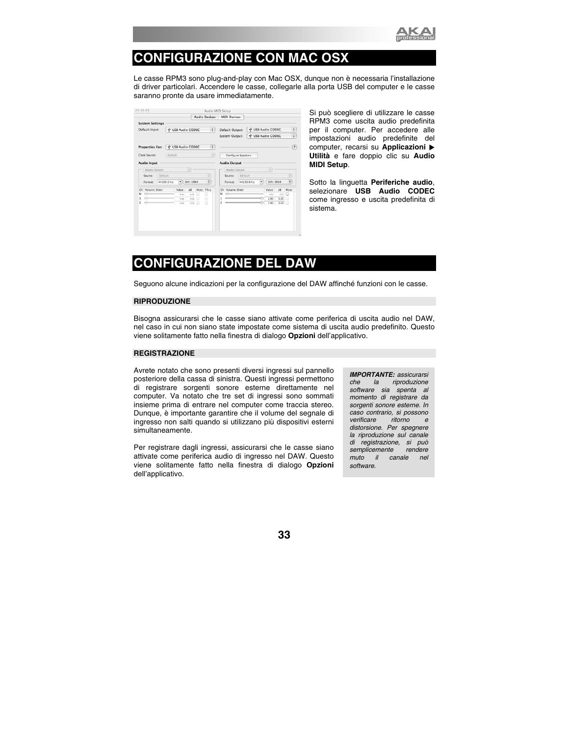

## **CONFIGURAZIONE CON MAC OSX**

Le casse RPM3 sono plug-and-play con Mac OSX, dunque non è necessaria l'installazione di driver particolari. Accendere le casse, collegarle alla porta USB del computer e le casse saranno pronte da usare immediatamente.

|                        |                                               |                   |                 |      | Audio Devices        |                   | <b>MIDI Devices</b> |         |            |   |                   |      |                   |
|------------------------|-----------------------------------------------|-------------------|-----------------|------|----------------------|-------------------|---------------------|---------|------------|---|-------------------|------|-------------------|
| <b>System Settings</b> |                                               |                   |                 |      |                      |                   |                     |         |            |   |                   |      |                   |
|                        | $\div$<br>Default Input:<br>V USB Audio CODEC |                   | Default Output: |      |                      | V USB Audio CODEC |                     |         |            |   |                   |      |                   |
|                        |                                               |                   |                 |      |                      |                   | System Output:      |         |            |   | V USB Audio CODEC |      | ÷                 |
| <b>Properties For:</b> |                                               | V USB Audio CODEC |                 |      | ÷                    |                   |                     |         |            |   |                   |      | $\left( 2\right)$ |
| Clock Source:          | Default                                       |                   |                 |      | ÷                    |                   | Configure Speakers  |         |            |   |                   |      |                   |
| Audio Input            |                                               |                   |                 |      |                      |                   | <b>Audio Output</b> |         |            |   |                   |      |                   |
| Master Stream          |                                               |                   | ÷               |      |                      |                   | Master Stream       |         |            |   | ÷                 |      |                   |
| Source:                | Default                                       |                   |                 |      | $\ddot{\phantom{0}}$ |                   | Source:             | Default |            |   |                   |      | ÷                 |
| Format:                | 44100.0 Hz                                    | ۰                 | $2ch-16bit$     |      | ÷                    |                   | Format:             |         | 44100.0 Hz | ٠ | $2ch-16bit$       |      | ÷                 |
| Volume Slider<br>Ch    |                                               | Value             | dB              | Mute | Thru                 | Ch                | Volume Slider       |         |            |   | Value             | dB   | Mute              |
| M<br>$\leftrightarrow$ |                                               | n/a               | n/a             | m    | ▣                    | м                 | ≏                   |         |            |   | n/a               | n/a  | 用                 |
| $\ominus$              |                                               | n/a               | n/4             | 曲    | ℮                    |                   |                     |         |            |   | 1.00              | 0.00 | F                 |
| ⇔<br>2                 |                                               | n/a               | n/2             |      | F                    | 2                 |                     |         |            |   | 1.00              | 0.00 |                   |

Si può scegliere di utilizzare le casse RPM3 come uscita audio predefinita per il computer. Per accedere alle impostazioni audio predefinite del computer, recarsi su **Applicazioni Utilità** e fare doppio clic su **Audio MIDI Setup**.

Sotto la linguetta **Periferiche audio**, selezionare **USB Audio CODEC** come ingresso e uscita predefinita di sistema.

## **CONFIGURAZIONE DEL DAW**

Seguono alcune indicazioni per la configurazione del DAW affinché funzioni con le casse.

#### **RIPRODUZIONE**

Bisogna assicurarsi che le casse siano attivate come periferica di uscita audio nel DAW, nel caso in cui non siano state impostate come sistema di uscita audio predefinito. Questo viene solitamente fatto nella finestra di dialogo **Opzioni** dell'applicativo.

#### **REGISTRAZIONE**

Avrete notato che sono presenti diversi ingressi sul pannello posteriore della cassa di sinistra. Questi ingressi permettono di registrare sorgenti sonore esterne direttamente nel computer. Va notato che tre set di ingressi sono sommati insieme prima di entrare nel computer come traccia stereo. Dunque, è importante garantire che il volume del segnale di ingresso non salti quando si utilizzano più dispositivi esterni simultaneamente.

Per registrare dagli ingressi, assicurarsi che le casse siano attivate come periferica audio di ingresso nel DAW. Questo viene solitamente fatto nella finestra di dialogo **Opzioni** dell'applicativo.

*IMPORTANTE: assicurarsi che la riproduzione software sia spenta al momento di registrare da sorgenti sonore esterne. In caso contrario, si possono verificare ritorno e distorsione. Per spegnere la riproduzione sul canale di registrazione, si può semplicemente rendere muto il canale nel software.*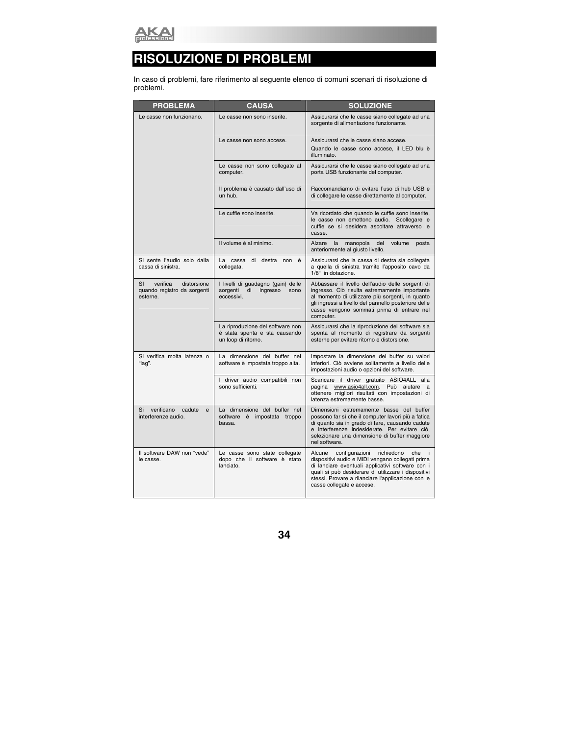

## **RISOLUZIONE DI PROBLEMI**

In caso di problemi, fare riferimento al seguente elenco di comuni scenari di risoluzione di problemi.

| <b>PROBLEMA</b>                                                          | <b>CAUSA</b>                                                                             | <b>SOLUZIONE</b>                                                                                                                                                                                                                                                                                       |
|--------------------------------------------------------------------------|------------------------------------------------------------------------------------------|--------------------------------------------------------------------------------------------------------------------------------------------------------------------------------------------------------------------------------------------------------------------------------------------------------|
| Le casse non funzionano.                                                 | Le casse non sono inserite.                                                              | Assicurarsi che le casse siano collegate ad una<br>sorgente di alimentazione funzionante.                                                                                                                                                                                                              |
|                                                                          | Le casse non sono accese.                                                                | Assicurarsi che le casse siano accese.                                                                                                                                                                                                                                                                 |
|                                                                          |                                                                                          | Quando le casse sono accese, il LED blu è<br>illuminato.                                                                                                                                                                                                                                               |
|                                                                          | Le casse non sono collegate al<br>computer.                                              | Assicurarsi che le casse siano collegate ad una<br>porta USB funzionante del computer.                                                                                                                                                                                                                 |
|                                                                          | Il problema è causato dall'uso di<br>un hub.                                             | Raccomandiamo di evitare l'uso di hub USB e<br>di collegare le casse direttamente al computer.                                                                                                                                                                                                         |
|                                                                          | Le cuffie sono inserite.                                                                 | Va ricordato che quando le cuffie sono inserite,<br>le casse non emettono audio. Scollegare le<br>cuffie se si desidera ascoltare attraverso le<br>casse.                                                                                                                                              |
|                                                                          | Il volume è al minimo.                                                                   | Alzare<br>$l$ a<br>manopola<br>del<br>volume<br>posta<br>anteriormente al giusto livello.                                                                                                                                                                                                              |
| Si sente l'audio solo dalla<br>cassa di sinistra.                        | La cassa di destra non<br>è<br>collegata.                                                | Assicurarsi che la cassa di destra sia collegata<br>a quella di sinistra tramite l'apposito cavo da<br>1/8" in dotazione.                                                                                                                                                                              |
| SI<br>verifica<br>distorsione<br>quando registro da sorgenti<br>esterne. | I livelli di guadagno (gain) delle<br>sorgenti<br>di<br>ingresso<br>sono<br>eccessivi.   | Abbassare il livello dell'audio delle sorgenti di<br>ingresso. Ciò risulta estremamente importante<br>al momento di utilizzare più sorgenti, in quanto<br>gli ingressi a livello del pannello posteriore delle<br>casse vengono sommati prima di entrare nel<br>computer.                              |
|                                                                          | La riproduzione del software non<br>è stata spenta e sta causando<br>un loop di ritorno. | Assicurarsi che la riproduzione del software sia<br>spenta al momento di registrare da sorgenti<br>esterne per evitare ritorno e distorsione.                                                                                                                                                          |
| Si verifica molta latenza o<br>"lag".                                    | La dimensione del buffer nel<br>software è impostata troppo alta.                        | Impostare la dimensione del buffer su valori<br>inferiori. Ciò avviene solitamente a livello delle<br>impostazioni audio o opzioni del software.                                                                                                                                                       |
|                                                                          | I driver audio compatibili non<br>sono sufficienti.                                      | Scaricare il driver gratuito ASIO4ALL alla<br>pagina www.asio4all.com. Può aiutare a<br>ottenere migliori risultati con impostazioni di<br>latenza estremamente basse.                                                                                                                                 |
| verificano<br>cadute<br>Si<br>$\mathbf{e}$<br>interferenze audio.        | La dimensione del buffer nel<br>software è impostata troppo<br>bassa.                    | Dimensioni estremamente basse del buffer<br>possono far sì che il computer lavori più a fatica<br>di quanto sia in grado di fare, causando cadute<br>e interferenze indesiderate. Per evitare ciò,<br>selezionare una dimensione di buffer maggiore<br>nel software.                                   |
| Il software DAW non "vede"<br>le casse.                                  | Le casse sono state collegate<br>dopo che il software è stato<br>lanciato.               | Alcune<br>configurazioni<br>richiedono<br>che<br>-i-<br>dispositivi audio e MIDI vengano collegati prima<br>di lanciare eventuali applicativi software con i<br>quali si può desiderare di utilizzare i dispositivi<br>stessi. Provare a rilanciare l'applicazione con le<br>casse collegate e accese. |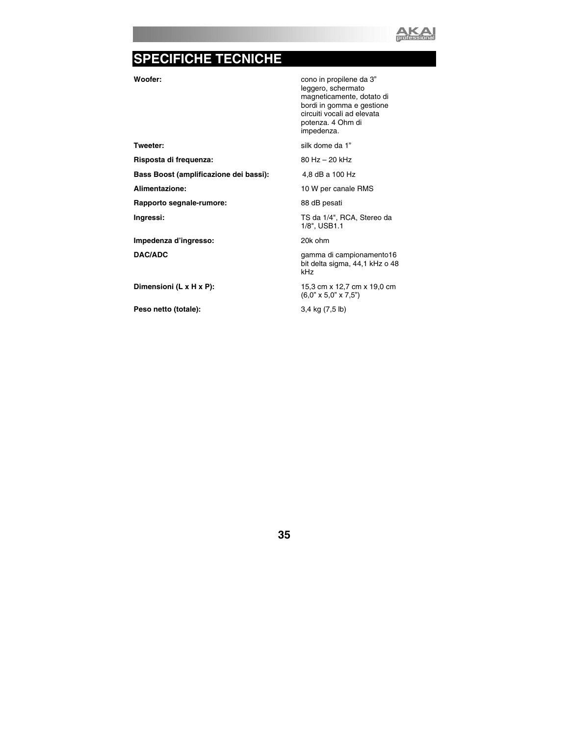

## **SPECIFICHE TECNICHE**

**Woofer: which is a conomigle in the Woofer: conomigle in propilene da 3"**  leggero, schermato magneticamente, dotato di bordi in gomma e gestione circuiti vocali ad elevata potenza. 4 Ohm di impedenza.

**Tweeter: Silk dome da 1" Silk dome da 1"** 

Alimentazione: 10 W per canale RMS

**Ingressi:** TS da 1/4", RCA, Stereo da 1/8", USB1.1

**DAC/ADC** gamma di campionamento16 bit delta sigma, 44,1 kHz o 48 kHz

**Dimensioni (L x H x P):** 15,3 cm x 12,7 cm x 19,0 cm (6,0" x 5,0" x 7,5")

**Risposta di frequenza:** 80 Hz – 20 kHz

**Bass Boost (amplificazione dei bassi):** 4,8 dB a 100 Hz

Rapporto segnale-rumore: 88 dB pesati

**Impedenza d'ingresso:** 20k ohm

**Peso netto (totale):** 3,4 kg (7,5 lb)